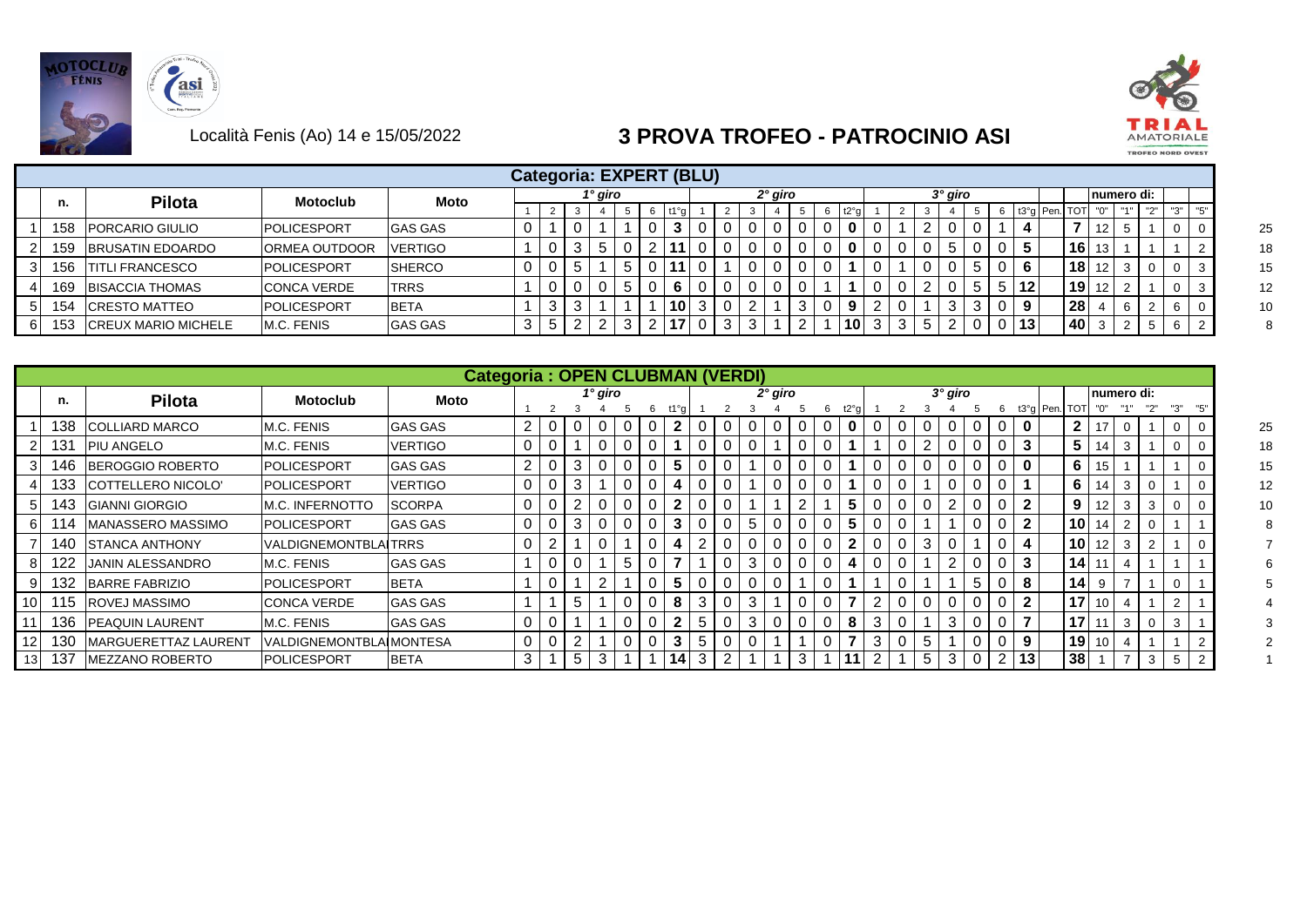



|     |                            |                      |                |   |   |            |                     |   |    | Categoria: EXPERT (BLU) |   |         |  |                 |   |  |         |  |                 |                 |                 |     |                   |              |          |  |
|-----|----------------------------|----------------------|----------------|---|---|------------|---------------------|---|----|-------------------------|---|---------|--|-----------------|---|--|---------|--|-----------------|-----------------|-----------------|-----|-------------------|--------------|----------|--|
| ш.  | <b>Pilota</b>              | <b>Motoclub</b>      | Moto           |   |   |            | <sup>1</sup> ° giro |   |    |                         |   | 2° giro |  |                 |   |  | 3° giro |  |                 |                 |                 |     | numero di:        |              |          |  |
|     |                            |                      |                |   | 2 |            |                     |   |    |                         |   |         |  | t2°a            |   |  |         |  |                 | t3°g   Pen. TOT |                 | "∩" | $H \rightarrow H$ | $\mathbb{R}$ | יי כי יי |  |
| 158 | <b>IPORCARIO GIULIO</b>    | <b>IPOLICESPORT</b>  | <b>GAS GAS</b> | υ |   |            |                     |   |    |                         |   |         |  |                 |   |  |         |  |                 |                 |                 |     |                   |              |          |  |
| 159 | <b>BRUSATIN EDOARDO</b>    | <b>ORMEA OUTDOOR</b> | VERTIGO        |   |   | 3          |                     |   |    |                         |   |         |  |                 |   |  |         |  | 5.              |                 | $16$   13       |     |                   |              |          |  |
| 156 | <b>ITITLI FRANCESCO</b>    | <b>IPOLICESPORT</b>  | <b>SHERCO</b>  | 0 |   |            |                     | 5 |    |                         |   |         |  |                 |   |  |         |  | 6               |                 | $18$   12       |     |                   |              |          |  |
| 169 | <b>BISACCIA THOMAS</b>     | <b>CONCA VERDE</b>   | <b>TRRS</b>    |   |   |            |                     | 5 |    |                         |   |         |  |                 |   |  |         |  | $12 \,$         |                 | $19$ 12         |     |                   |              |          |  |
| 154 | <b>CRESTO MATTEO</b>       | POLICESPORT          | <b>BETA</b>    |   | د |            |                     |   | 10 | 3                       |   |         |  |                 |   |  |         |  | 9               |                 | 28 <sub>1</sub> |     |                   |              |          |  |
| 153 | <b>CREUX MARIO MICHELE</b> | M.C. FENIS           | <b>GAS GAS</b> | 3 | 5 | $\epsilon$ |                     |   |    |                         | 3 |         |  | 10 <sup>1</sup> | 3 |  |         |  | 13 <sub>1</sub> |                 | 40 l            |     |                   |              |          |  |

|      |     |                        |                                | <b>Categoria: OPEN CLUBMAN (VERDI)</b> |                |   |                |   |    |   |   |   |           |   |                |                  |             |   |         |   |              |               |                 |    |             |   |                |    |
|------|-----|------------------------|--------------------------------|----------------------------------------|----------------|---|----------------|---|----|---|---|---|-----------|---|----------------|------------------|-------------|---|---------|---|--------------|---------------|-----------------|----|-------------|---|----------------|----|
|      | п.  | <b>Pilota</b>          | <b>Motoclub</b>                | Moto                                   |                |   | $1^\circ$ giro |   |    |   |   |   | $2°$ giro |   |                |                  |             |   | 3° giro |   |              |               |                 |    | Inumero di: |   | "3"            |    |
|      | 138 | <b>COLLIARD MARCO</b>  | M.C. FENIS                     | <b>GAS GAS</b>                         | 2              |   |                |   | 2  |   |   | 0 |           | 0 |                | t2°a<br>$\bf{0}$ |             |   |         |   |              | t3°g Pen. TOT | $\mathbf{2}$    |    |             |   |                | 25 |
|      | 131 | <b>PIU ANGELO</b>      | M.C. FENIS                     | <b>VERTIGO</b>                         | 0              |   |                |   |    |   | 0 | 0 |           | 0 |                |                  |             |   |         | U | 3            |               | $5^{\circ}$     | 14 | -3          |   | 0              | 18 |
|      | 146 | BEROGGIO ROBERTO       | <b>POLICESPORT</b>             | <b>GAS GAS</b>                         | $\overline{2}$ | 3 | $\Omega$       | 0 | 5  |   |   |   |           | 0 | $\overline{0}$ |                  | $\mathbf 0$ |   |         |   | $\mathbf 0$  |               | 6               | 15 |             |   |                | 15 |
|      | 133 | COTTELLERO NICOLO'     | <b>POLICESPORT</b>             | <b>VERTIGO</b>                         | 0              | 3 |                |   |    |   |   |   |           | 0 | 0              |                  |             |   |         |   |              |               | 6               | 14 | -3          |   |                | 12 |
|      | 143 | <b>GIANNI GIORGIO</b>  | M.C. INFERNOTTO                | <b>SCORPA</b>                          | 0              |   | $\Omega$       | 0 | 2  |   |   |   |           | 2 |                | 5                | $\mathbf 0$ |   |         |   | 2            |               | 9               | 12 | -3          | 3 | 0              | 10 |
|      | 114 | MANASSERO MASSIMO      | <b>POLICESPORT</b>             | <b>GAS GAS</b>                         | 0              | 3 |                |   | 3  |   |   | 5 |           | 0 | 0              | 5                | 0           |   |         |   | $\mathbf{2}$ |               | 10 <sub>l</sub> |    |             |   |                |    |
|      | 140 | <b>STANCA ANTHONY</b>  | <b>VALDIGNEMONTBLAITRRS</b>    |                                        | 0              |   |                |   |    |   |   | 0 |           | O | O              | $\mathbf{2}$     | 0           | 3 |         |   |              |               | 10 <sup>1</sup> | 12 | 3           |   |                |    |
|      | 122 | JANIN ALESSANDRO       | M.C. FENIS                     | <b>GAS GAS</b>                         |                |   |                | 0 |    |   | 0 | 3 | 0         | 0 | 0              | 4                | $\mathbf 0$ |   | 2       |   | 3            |               | 14              |    |             |   |                |    |
|      | 132 | <b>BARRE FABRIZIO</b>  | POLICESPORT                    | <b>BETA</b>                            |                |   |                | 0 | 5  |   |   | 0 |           |   | $\mathbf C$    |                  |             |   |         | 5 | 8            |               | 14              | 9  |             |   |                |    |
| 10 I | 115 | <b>ROVEJ MASSIMO</b>   | <b>CONCA VERDE</b>             | <b>GAS GAS</b>                         |                | 5 |                | 0 | 8  |   |   | 3 |           | O |                |                  | 2           |   |         |   | $\mathbf{2}$ |               | 17 <sup>1</sup> | 10 |             |   | $\overline{2}$ |    |
|      | 136 | <b>PEAQUIN LAURENT</b> | M.C. FENIS                     | <b>GAS GAS</b>                         | 0              |   |                |   | າ  | 5 |   | 3 |           | 0 | 0              | 8                | 3           |   | 3       |   |              |               | 17              |    | 3           |   | 3              |    |
|      | 130 | MARGUERETTAZ LAURENT   | <b>VALDIGNEMONTBLAIMONTESA</b> |                                        | 0              |   |                | 0 | 3  | 5 | 0 | 0 |           |   | $\mathbf C$    |                  | 3           | 5 |         |   | 9            |               | 19              | 10 |             |   |                |    |
|      | 137 | <b>MEZZANO ROBERTO</b> | <b>POLICESPORT</b>             | <b>BETA</b>                            | 3              | 5 | 3              |   | 14 | 3 |   |   |           | 3 |                |                  |             | 5 | 3       |   | 13           |               | 38              |    |             | 3 | 5              |    |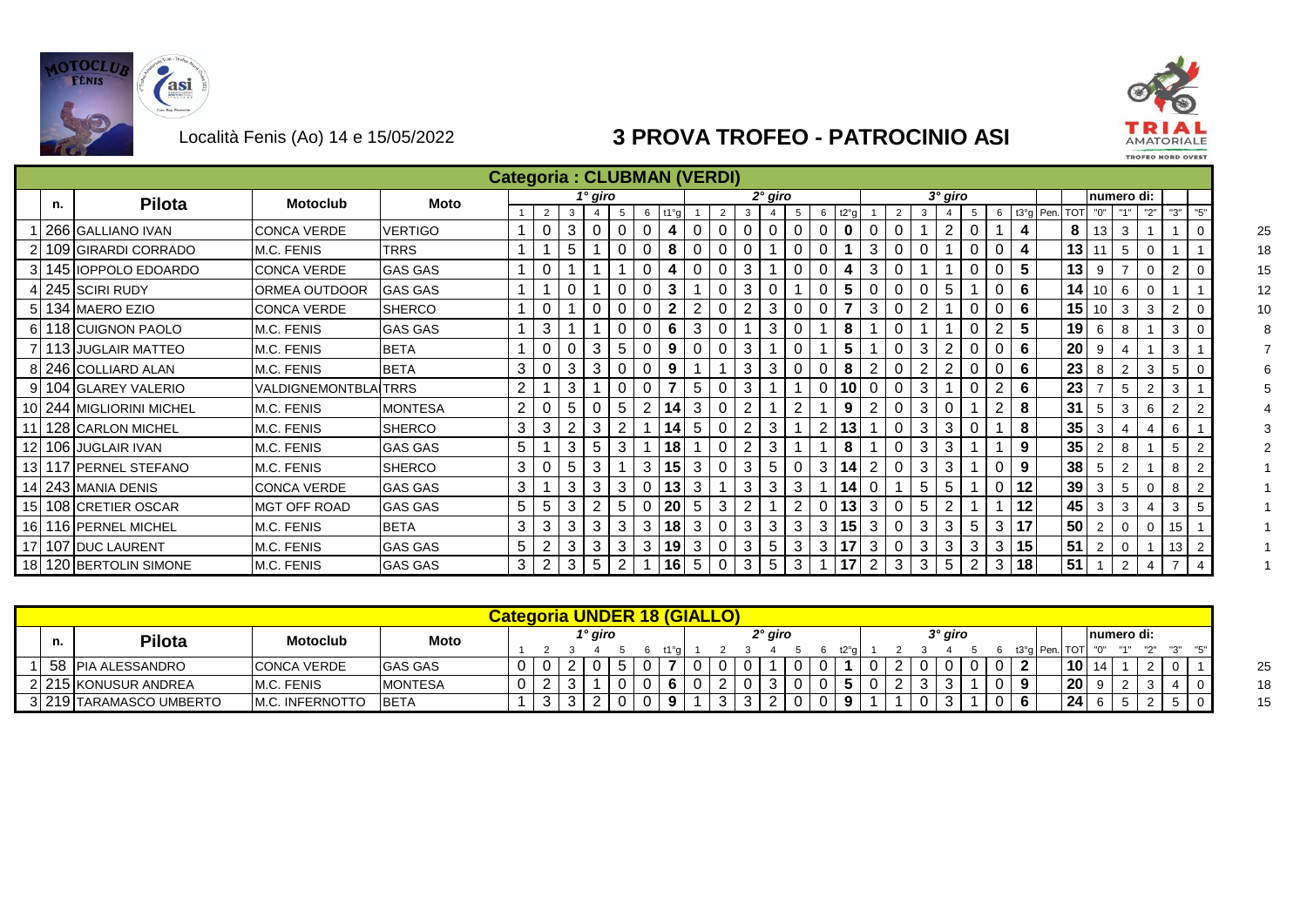



|    |                          |                              |                |                |          |   |                |   |          |               | <b>Categoria: CLUBMAN (VERDI)</b> |   |   |           |          |   |      |                |          |   |           |   |   |    |             |            |                |                |                |                |     |    |
|----|--------------------------|------------------------------|----------------|----------------|----------|---|----------------|---|----------|---------------|-----------------------------------|---|---|-----------|----------|---|------|----------------|----------|---|-----------|---|---|----|-------------|------------|----------------|----------------|----------------|----------------|-----|----|
| n. | <b>Pilota</b>            | <b>Motoclub</b>              | <b>Moto</b>    |                |          |   | 1° giro        |   |          |               |                                   |   |   | $2°$ giro |          |   |      |                |          |   | $3°$ giro |   |   |    |             |            |                | numero di:     |                |                |     |    |
|    |                          |                              |                |                | 2        | 3 | $\overline{4}$ | 5 | 6        | $t1^{\circ}a$ |                                   | 2 | 3 |           | 5        | 6 | t2°a |                | 2        | 3 |           | 5 |   |    | 6 t3°q Pen. | <b>TOT</b> | "0"            | "1"            | "2"            | "3"            | "5" |    |
|    | 266 GALLIANO IVAN        | CONCA VERDE                  | <b>VERTIGO</b> |                |          | 3 |                |   |          |               |                                   |   |   |           |          |   |      |                |          |   |           |   |   |    |             | 8          | 13             | 3              |                |                |     | 25 |
|    | 109 GIRARDI CORRADO      | M.C. FENIS                   | <b>TRRS</b>    |                |          | 5 |                |   |          | 8             |                                   |   |   |           |          |   |      | 3              |          |   |           |   |   | 4  |             | 13         |                | 5              |                |                |     | 18 |
|    | 3 145 IOPPOLO EDOARDO    | <b>CONCA VERDE</b>           | <b>GAS GAS</b> |                |          |   |                |   |          |               |                                   |   | 3 |           |          |   |      | 3              |          |   |           |   |   | 5  |             | 13         | 9              |                | $\Omega$       | $\overline{2}$ |     | 15 |
|    | 245 SCIRI RUDY           | IORMEA OUTDOOR               | <b>GAS GAS</b> |                |          |   |                |   |          | 3             |                                   |   | 3 |           |          |   |      |                |          |   | 5         |   |   | 6  |             | 141        | 10             | 6              |                |                |     | 12 |
|    | 5 134 MAERO EZIO         | CONCA VERDE                  | <b>SHERCO</b>  |                |          |   |                |   |          |               |                                   |   |   | 3         |          |   |      | 3              |          |   |           |   |   | 6  |             | 15         | 10             | 3              | 3              | 2              |     | 10 |
|    | 6 118 CUIGNON PAOLO      | M.C. FENIS                   | <b>GAS GAS</b> |                | 3        |   |                |   |          | 6             | 3                                 |   |   | 3         |          |   | 8    |                |          |   |           |   |   | 5  |             | 19         | 6              | 8              |                | 3              |     |    |
|    | 7 113 JUGLAIR MATTEO     | M.C. FENIS                   | <b>BETA</b>    |                | $\Omega$ |   | 3              | 5 |          | 9             |                                   |   | 3 |           |          |   |      |                |          | 3 |           |   |   | 6  |             | 20         | 9              |                |                | 3              |     |    |
|    | 8 246 COLLIARD ALAN      | M.C. FENIS                   | <b>BETA</b>    | 3              | $\Omega$ | 3 | 3              |   |          | 9             |                                   |   | 3 | 3         | $\Omega$ |   | 8    | 2              |          | 2 |           |   |   | 6  |             | 23         | 8              | $\overline{2}$ | 3              | 5              |     |    |
|    | 9 104 GLAREY VALERIO     | <u> VALDIGNEMONTBLAITRRS</u> |                | 2 <sub>1</sub> |          | 3 |                |   |          |               | 5                                 |   | 3 |           |          |   | 10   |                |          | 3 |           |   |   | 6  |             | 23         |                | 5              | $\overline{2}$ | 3              |     |    |
|    | 10 244 MIGLIORINI MICHEL | M.C. FENIS                   | <b>MONTESA</b> | $\mathbf{2}$   |          | 5 |                | 5 |          | 14            | 3                                 |   | 2 |           |          |   | 9    | 2              |          | 3 |           |   | 2 | 8  |             | 31         | -5             | 3              | 6              | $\overline{2}$ |     |    |
|    | 11 128 CARLON MICHEL     | M.C. FENIS                   | <b>SHERCO</b>  | 3              | 3        |   | 3              |   |          | 14            | 5                                 |   |   | 3         |          | 2 |      |                |          | 3 | 3         |   |   | 8  |             | 35         | 3              |                |                | 6              |     |    |
|    | 12 106 JUGLAIR IVAN      | M.C. FENIS                   | <b>GAS GAS</b> | 5              |          | 3 | 5              | 3 |          | 18            |                                   |   | 2 | 3         |          |   | 8    |                |          | 3 | 3         |   |   | 9  |             | 35         |                | 8              |                | 5              |     |    |
|    | 13 117 PERNEL STEFANO    | M.C. FENIS                   | <b>SHERCO</b>  | 3              |          | 5 | 3              |   | 3        | 15            | 3                                 |   | 3 | 5         |          | 3 |      | റ              |          | 3 | 3         |   |   | 9  |             | 38         | -5             | $\overline{2}$ |                | 8              |     |    |
|    | 14 243 MANIA DENIS       | ICONCA VERDE                 | <b>GAS GAS</b> | 3              |          | 3 | 3              | 3 | $\Omega$ | 13            | 3                                 |   | 3 | 3         | 3        |   |      |                |          | 5 | 5         |   |   | 12 |             | 39         | 3              | 5              | $\mathbf 0$    | 8              |     |    |
|    | 15 108 CRETIER OSCAR     | <b>IMGT OFF ROAD</b>         | <b>GAS GAS</b> | 5              | 5        | 3 |                | 5 | $\Omega$ | 20            | 5                                 | 3 | 2 |           | 2        | 0 | 13   | 3              | $\Omega$ | 5 |           |   |   | 12 |             | 45         | 3              | 3              |                | 3              |     |    |
|    | 16 116 PERNEL MICHEL     | M.C. FENIS                   | <b>BETA</b>    | 3              | 3        | 3 | 3              | 3 | 3        | 18            | 3                                 |   | 3 | 3         | 3        | 3 | 15   | 3              |          | 3 | 3         | 5 | 3 | 17 |             | 50         | $\overline{2}$ | 0              | $\mathbf 0$    | 15             |     |    |
|    | 17 107 DUC LAURENT       | M.C. FENIS                   | <b>GAS GAS</b> | 5              |          |   | 3              | 3 | 3        | 19            | 3                                 |   | 3 | 5         | 3        | 3 | 17   | 3              |          | 3 | 3         |   | 3 | 15 |             | 51         |                |                |                | 13             |     |    |
|    | 18 120 BERTOLIN SIMONE   | M.C. FENIS                   | <b>GAS GAS</b> | 3              |          | 3 | 5              | 2 |          | 16            | 5                                 |   | 3 | 5         | 3        |   |      | $\overline{2}$ | 3        | 3 | 5         |   | 3 | 18 |             | 51         |                | $\overline{2}$ | 4              |                |     |    |

| Categoria UNDER 18 (GIALLO)<br>$2°$ giro<br>3° giro<br><sup>1</sup> ° giro<br>Inumero di:<br>Pilota<br><b>Motoclub</b><br>Moto<br>n.<br><b>TOT</b><br>$\mathbf{H} \cap \mathbf{H}$<br>13°n<br>Pen<br>58 PIA ALESSANDRO<br>10 <sub>1</sub><br><b>GAS GAS</b><br><b>CONCA VERDE</b><br>20<br>215 KONUSUR ANDREA<br>M.C. FENIS<br><b>MONTESA</b><br>24<br>219 TARAMASCO UMBERTO<br><b>IM.C. INFERNOTTO</b><br><b>BETA</b><br>ັບ |  |  |  |  |  |  |  |  |  |  |  |  |  |  |  |  |
|------------------------------------------------------------------------------------------------------------------------------------------------------------------------------------------------------------------------------------------------------------------------------------------------------------------------------------------------------------------------------------------------------------------------------|--|--|--|--|--|--|--|--|--|--|--|--|--|--|--|--|
|                                                                                                                                                                                                                                                                                                                                                                                                                              |  |  |  |  |  |  |  |  |  |  |  |  |  |  |  |  |
|                                                                                                                                                                                                                                                                                                                                                                                                                              |  |  |  |  |  |  |  |  |  |  |  |  |  |  |  |  |
|                                                                                                                                                                                                                                                                                                                                                                                                                              |  |  |  |  |  |  |  |  |  |  |  |  |  |  |  |  |
|                                                                                                                                                                                                                                                                                                                                                                                                                              |  |  |  |  |  |  |  |  |  |  |  |  |  |  |  |  |
|                                                                                                                                                                                                                                                                                                                                                                                                                              |  |  |  |  |  |  |  |  |  |  |  |  |  |  |  |  |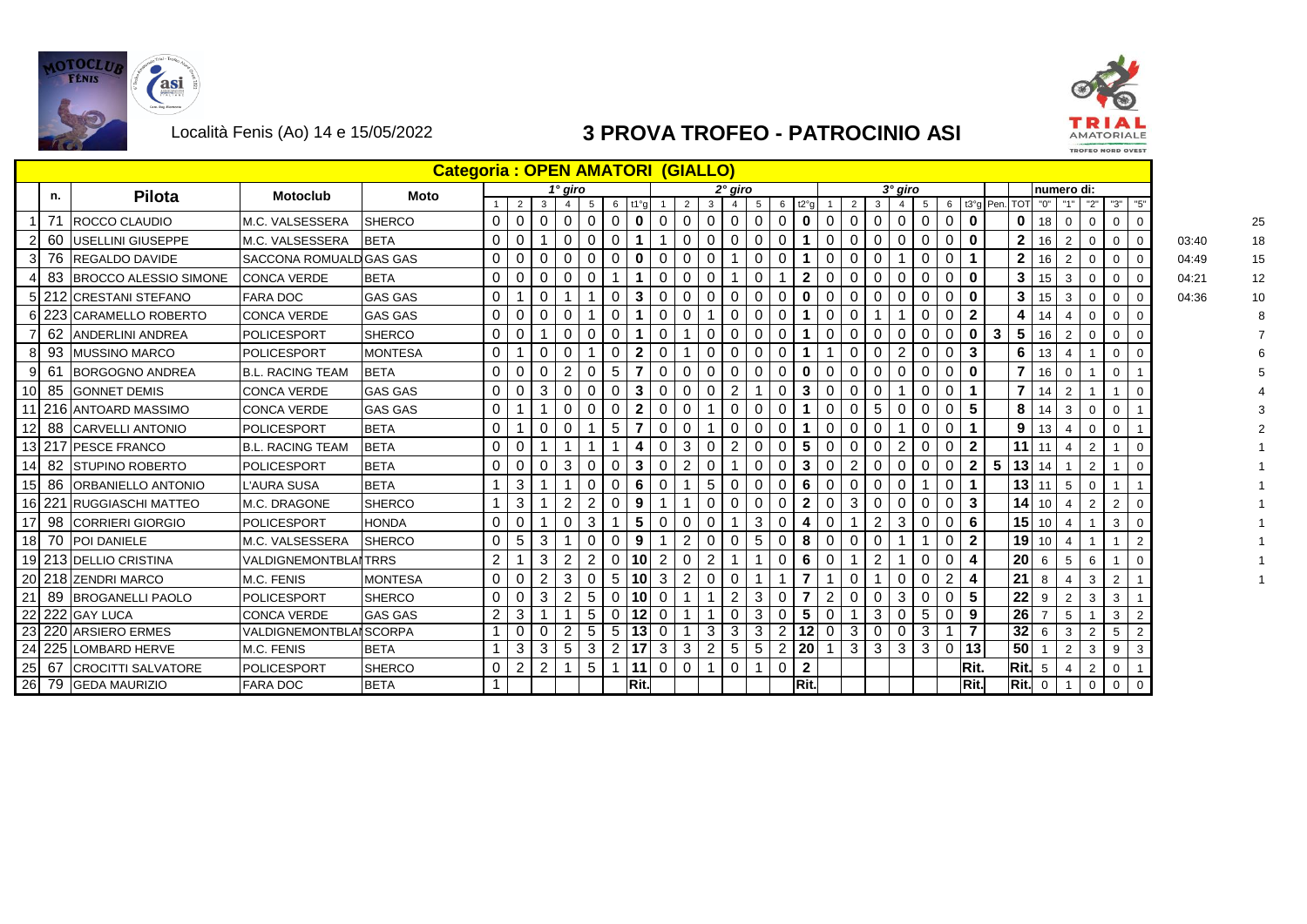



|                 |    |                              |                               | <b>Categoria: OPEN AMATORI (GIALLO)</b> |                |                |   |                |                 |                |                     |                |                |                |                |                 |                |                         |                |                |                 |                |                |                |                |             |                |                 |                |                |                |             |       |  |
|-----------------|----|------------------------------|-------------------------------|-----------------------------------------|----------------|----------------|---|----------------|-----------------|----------------|---------------------|----------------|----------------|----------------|----------------|-----------------|----------------|-------------------------|----------------|----------------|-----------------|----------------|----------------|----------------|----------------|-------------|----------------|-----------------|----------------|----------------|----------------|-------------|-------|--|
|                 | n. | <b>Pilota</b>                | <b>Motoclub</b>               | <b>Moto</b>                             |                |                |   | 1° giro        |                 |                |                     |                |                |                | $2°$ giro      |                 |                |                         |                |                |                 | $3°$ giro      |                |                |                |             |                |                 | numero di:     |                |                |             |       |  |
|                 |    |                              |                               |                                         |                | $\overline{2}$ | 3 |                | $5^{\circ}$     |                | $6$ t1 $^{\circ}$ a |                | $2^{\circ}$    | 3              |                | 5               |                | $6$ t <sup>2°</sup> $a$ |                | $2^{\circ}$    | $\mathbf{3}$    |                | 5              |                |                | 6 t3°g Pen. |                | TOT "0"         | "1"            | "2"            | "3"            | "5"         |       |  |
|                 |    | <b>ROCCO CLAUDIO</b>         | IM.C. VALSESSERA              | <b>SHERCO</b>                           | $\mathbf 0$    | $\overline{0}$ | 0 | 0              | $\mathbf 0$     | $\mathbf 0$    | $\mathbf 0$         | $\mathbf 0$    | $\overline{0}$ | 0              | $\mathbf 0$    | $\overline{0}$  | $\mathbf 0$    | $\mathbf 0$             | $\mathbf 0$    | $\mathbf 0$    | $\Omega$        | 0              | $\mathbf 0$    | $\mathbf 0$    | $\mathbf 0$    |             | $\mathbf 0$    | 18              | $\mathbf 0$    | 0              | $\mathbf 0$    |             |       |  |
|                 | 60 | <b>IUSELLINI GIUSEPPE</b>    | IM.C. VALSESSERA              | <b>BETA</b>                             | $\overline{0}$ | $\mathbf 0$    |   | $\mathbf 0$    | $\mathbf 0$     | $\overline{0}$ |                     |                | $\overline{0}$ | $\overline{0}$ | $\mathbf 0$    | $\overline{0}$  | $\mathbf 0$    |                         | $\mathbf{0}$   | $\overline{0}$ | $\mathbf{0}$    | $\mathbf 0$    | $\overline{0}$ | $\mathbf 0$    | $\mathbf 0$    |             | 2 <sub>1</sub> | 16              | $\overline{2}$ | 0              | $\mathbf 0$    | $\mathbf 0$ | 03:40 |  |
|                 | 76 | <b>REGALDO DAVIDE</b>        | SACCONA ROMUALD GAS GAS       |                                         | 0              | 0              | 0 | 0              | $\mathbf 0$     | $\mathbf{0}$   | $\bf{0}$            | 0              | $\mathbf{0}$   | $\overline{0}$ |                | 0               | 0              |                         | $\Omega$       | $\mathbf{0}$   | $\Omega$        |                | 0              | 0              |                |             | $\mathbf{2}$   | 16              | 2              | 0              | $\mathbf 0$    |             | 04:49 |  |
|                 | 83 | <b>BROCCO ALESSIO SIMONE</b> | <b>CONCA VERDE</b>            | <b>BETA</b>                             | 0              | 0              | 0 | 0              | 0               |                |                     | 0              | 0              | 0              |                | 0               |                | $\mathbf{2}$            | $\mathbf{0}$   | 0              | $\Omega$        | 0              | 0              | 0              | $\mathbf 0$    |             | $\mathbf{3}$   | 15              | 3              |                | 0              |             | 04:21 |  |
|                 |    | 5 212 CRESTANI STEFANO       | <b>FARA DOC</b>               | <b>GAS GAS</b>                          | $\mathbf 0$    |                | 0 |                |                 | $\overline{0}$ | $\mathbf{3}$        | $\overline{0}$ | $\overline{0}$ | $\overline{0}$ | $\mathbf 0$    | $\mathbf 0$     | $\mathbf{0}$   | $\bf{0}$                | $\mathbf{0}$   | $\overline{0}$ | $\Omega$        | $\mathbf 0$    | $\overline{0}$ | $\mathbf 0$    | $\mathbf 0$    |             | 3 <sup>1</sup> | 15 <sup>1</sup> | 3              | 0              | $\mathbf{0}$   | $\mathbf 0$ | 04:36 |  |
|                 |    | 6 223 CARAMELLO ROBERTO      | <b>ICONCA VERDE</b>           | <b>GAS GAS</b>                          | $\mathbf 0$    | $\mathbf 0$    | 0 | 0              |                 | $\mathbf 0$    |                     | $\mathbf 0$    | 0              |                | 0              | $\overline{0}$  | $\mathbf 0$    |                         | $\Omega$       | 0              |                 |                | 0              | 0              | $\mathbf{2}$   |             | 4              | 14              |                | 0              | $\mathbf{0}$   |             |       |  |
|                 |    | 62 ANDERLINI ANDREA          | POLICESPORT                   | <b>SHERCO</b>                           | 0              | 0              |   | 0              | $\mathbf 0$     | $\overline{0}$ |                     | 0              |                | $\overline{0}$ | 0              | $\overline{0}$  | $\mathbf{0}$   | 1                       | 0              | 0              | $\Omega$        | 0              | $\mathbf{0}$   | 0              | $\mathbf 0$    | 3           | 5              | 16              | 2              | 0              | $\mathbf 0$    |             |       |  |
|                 | 93 | <b>IMUSSINO MARCO</b>        | <b>POLICESPORT</b>            | <b>MONTESA</b>                          | $\mathbf 0$    |                | 0 | $\mathbf 0$    |                 | $\overline{0}$ | $\mathbf{2}$        | $\mathbf 0$    |                | 0              | 0              | $\overline{0}$  | $\mathbf{0}$   |                         |                | $\mathbf 0$    | $\Omega$        | 2              | $\overline{0}$ | $\mathbf 0$    | 3              |             | 6              | 13              | 4              |                | $\mathbf 0$    | $\mathbf 0$ |       |  |
|                 | 61 | <b>BORGOGNO ANDREA</b>       | <b>B.L. RACING TEAM</b>       | <b>BETA</b>                             | 0              | $\Omega$       | O | 2              | 0               | 5              |                     | $\Omega$       | 0              | $\Omega$       | 0              | 0               | 0              | $\mathbf 0$             | $\Omega$       | 0              | $\Omega$        | 0              | $\Omega$       | $\mathbf 0$    | $\bf{0}$       |             |                | 16              | $\Omega$       |                | $\mathbf 0$    |             |       |  |
| 10              | 85 | <b>GONNET DEMIS</b>          | <b>CONCA VERDE</b>            | <b>GAS GAS</b>                          | 0              | $\Omega$       | 3 | 0              | $\mathbf 0$     | $\Omega$       | 3                   | $\mathbf{0}$   | $\mathbf{0}$   | $\Omega$       | $\overline{2}$ |                 | $\mathbf 0$    | 3                       | $\mathbf{0}$   | $\mathbf{0}$   | $\Omega$        |                | 0              | $\mathbf 0$    |                |             | $\overline{7}$ | 14              |                |                |                |             |       |  |
|                 |    | 216 ANTOARD MASSIMO          | <b>CONCA VERDE</b>            | <b>GAS GAS</b>                          | 0              |                |   | 0              | $\mathbf 0$     | $\mathbf 0$    | $\mathbf{2}$        | 0              | 0              |                | 0              | 0               | $\mathbf 0$    |                         | 0              | $\mathbf 0$    | 5               | 0              | 0              | 0              | 5              |             | 8              | 14              | 3              | 0              | $\mathbf 0$    |             |       |  |
|                 | 88 | <b>CARVELLI ANTONIO</b>      | <b>POLICESPORT</b>            | <b>BETA</b>                             | $\Omega$       |                | 0 | 0              |                 | 5              |                     | $\Omega$       | $\Omega$       |                | 0              | 0               | 0              |                         | $\Omega$       | $\Omega$       | $\Omega$        |                | $\Omega$       | $\mathbf 0$    |                |             | 9 <sub>1</sub> | 13              |                | 0              | $\mathbf{0}$   |             |       |  |
|                 |    | 13 217 PESCE FRANCO          | <b>B.L. RACING TEAM</b>       | <b>BETA</b>                             | $\overline{0}$ | $\Omega$       |   |                |                 | 1              | 4                   | $\mathbf 0$    | 3 <sup>1</sup> | $\overline{0}$ | $\overline{2}$ | $\mathbf 0$     | $\overline{0}$ | 5                       | $\overline{0}$ | $\overline{0}$ | $\Omega$        | $\overline{2}$ | $\overline{0}$ | $\mathbf 0$    | $\overline{2}$ |             |                | $11$   11       | 4              | 2              |                | $\Omega$    |       |  |
| 14              | 82 | <b>ISTUPINO ROBERTO</b>      | POLICESPORT                   | <b>BETA</b>                             | 0              | 0              | 0 | 3              | 0               | $\Omega$       | 3                   | $\Omega$       | 2              | $\Omega$       |                | 0               | $\mathbf{0}$   | 3                       | $\Omega$       | $\overline{2}$ | $\Omega$        | 0              | 0              | 0              | $\mathbf{2}$   | 5           |                | $13$ 14         |                | $\overline{2}$ |                |             |       |  |
| 15              | 86 | <b>ORBANIELLO ANTONIO</b>    | L'AURA SUSA                   | <b>BETA</b>                             |                | 3              |   |                | 0               | $\Omega$       | 6                   | 0              |                | 5              | 0              | 0               | $\Omega$       | 6                       | $\Omega$       | $\Omega$       | $\Omega$        | 0              |                | $\Omega$       |                |             |                | $13$ 11         | 5              | $\Omega$       |                |             |       |  |
|                 |    | 16 221 RUGGIASCHI MATTEO     | M.C. DRAGONE                  | <b>SHERCO</b>                           |                | 3              |   | 2              | $\overline{2}$  | $\overline{0}$ | 9                   |                |                | $\Omega$       | 0              | $\overline{0}$  | $\mathbf 0$    | $\mathbf{2}$            | $\overline{0}$ | 3 <sup>1</sup> | $\mathbf 0$     | $\mathbf 0$    | $\overline{0}$ | 0              | $\mathbf{3}$   |             |                | 14 10           | 4              | 2              | 2              | 0           |       |  |
| 17              |    | 98 CORRIERI GIORGIO          | POLICESPORT                   | <b>HONDA</b>                            | $\Omega$       | $\Omega$       |   | 0              | 3               | 1              | 5                   | $\Omega$       | 0              | $\Omega$       |                | 3               | 0              | 4                       | $\Omega$       |                | 2               | 3              | 0              | 0              | 6              |             |                | $15$   10       | 4              |                | 3              | $\Omega$    |       |  |
| 18 <sup>l</sup> | 70 | <b>POI DANIELE</b>           | M.C. VALSESSERA               | <b>SHERCO</b>                           | 0              | 5              | 3 |                | 0               | $\Omega$       | 9                   |                | $\mathbf{2}$   | $\Omega$       | 0              | 5               | $\mathbf 0$    | 8                       | 0              | $\mathbf 0$    | $\Omega$        |                |                | $\Omega$       | $\overline{2}$ |             |                | 19 10           |                |                |                | 2           |       |  |
|                 |    | 19 213 DELLIO CRISTINA       | <b>VALDIGNEMONTBLAITRRS</b>   |                                         | $\overline{2}$ |                | 3 | 2              | $\overline{2}$  | $\overline{0}$ | 10 <sup>1</sup>     | 2              | $\overline{0}$ | $\overline{2}$ |                |                 | 0              | 6                       | $\mathbf{0}$   |                | $\overline{2}$  |                | 0              | 0              | 4              |             | 20             | 6               | 5              | 6              |                |             |       |  |
|                 |    | 20 218 ZENDRI MARCO          | M.C. FENIS                    | <b>MONTESA</b>                          | $\overline{0}$ | $\Omega$       | 2 | 3              | $\mathbf 0$     | 5              | 10 <sup>1</sup>     | 3              | $\overline{2}$ | $\Omega$       |                |                 |                |                         |                | $\Omega$       |                 | 0              | 0              | $\overline{2}$ | 4              |             | 21             | 8               | 4              | 3              | 2              |             |       |  |
| 21              | 89 | <b>BROGANELLI PAOLO</b>      | POLICESPORT                   | <b>SHERCO</b>                           | 0              | 0              | 3 | 2              | 5               | $\Omega$       | 10                  | 0              |                |                | 2              | 3               | $\mathbf 0$    | 7                       | $\overline{2}$ | 0              | $\Omega$        | 3              | $\mathbf 0$    | $\mathbf 0$    | 5              |             | 22             | 9               |                | 3              | 3              |             |       |  |
| 22              |    | 222 GAY LUCA                 | <b>CONCA VERDE</b>            | <b>GAS GAS</b>                          | $\overline{2}$ | 3              |   |                | 5               | $\Omega$       | 12 <sup>1</sup>     | 0              |                |                | 0              | 3               | $\mathbf 0$    | 5                       | 0              |                | 3               | $\mathbf{0}$   | 5              | 0              | 9              |             | 26             |                 | 5              |                | 3              | 2           |       |  |
|                 |    | 23 220 ARSIERO ERMES         | <b>VALDIGNEMONTBLAISCORPA</b> |                                         |                | $\overline{0}$ | 0 | $\overline{2}$ | $5\phantom{.0}$ | $\overline{5}$ | 13                  | $\mathbf 0$    | $\overline{1}$ | 3              | 3              | $\mathbf{3}$    | $\overline{2}$ | 12                      | $\overline{0}$ | دی             | $\overline{0}$  | $\mathbf 0$    | $\mathbf{3}$   |                | $\overline{7}$ |             | 32             | 6               | 3              | 2              | 5              | 2           |       |  |
|                 |    | 24 225 LOMBARD HERVE         | M.C. FENIS                    | <b>BETA</b>                             |                | 3              | 3 | 5              | 3               | $\overline{2}$ | 17                  | $\mathbf{3}$   | 3 <sup>1</sup> | $\overline{2}$ | 5              | $5\overline{5}$ | 2 <sup>1</sup> | 20 <sub>l</sub>         |                |                | $3 \mid 3 \mid$ |                | $3 \mid 3$     | 0              | 13             |             | 50             |                 | $\overline{2}$ | 3              | 9              | 3           |       |  |
| 25              | 67 | <b>CROCITTI SALVATORE</b>    | POLICESPORT                   | <b>SHERCO</b>                           | $\mathbf 0$    | $\overline{c}$ | 2 |                | 5               | $\mathbf{1}$   | 11                  | $\mathbf 0$    | $\overline{0}$ |                | $\mathbf 0$    |                 | $\mathbf{0}$   | $\overline{2}$          |                |                |                 |                |                |                | Rit.           |             | Rit.           | 5               | 4              | 2              | $\mathbf 0$    |             |       |  |
|                 |    | 26 79 GEDA MAURIZIO          | <b>FARA DOC</b>               | <b>BETA</b>                             |                |                |   |                |                 |                | Rit.                |                |                |                |                |                 |                | Rit.                    |                |                |                 |                |                |                | Rit.           |             |                | <b>Rit.</b> 0   |                | 0              | $\overline{0}$ | $\mathbf 0$ |       |  |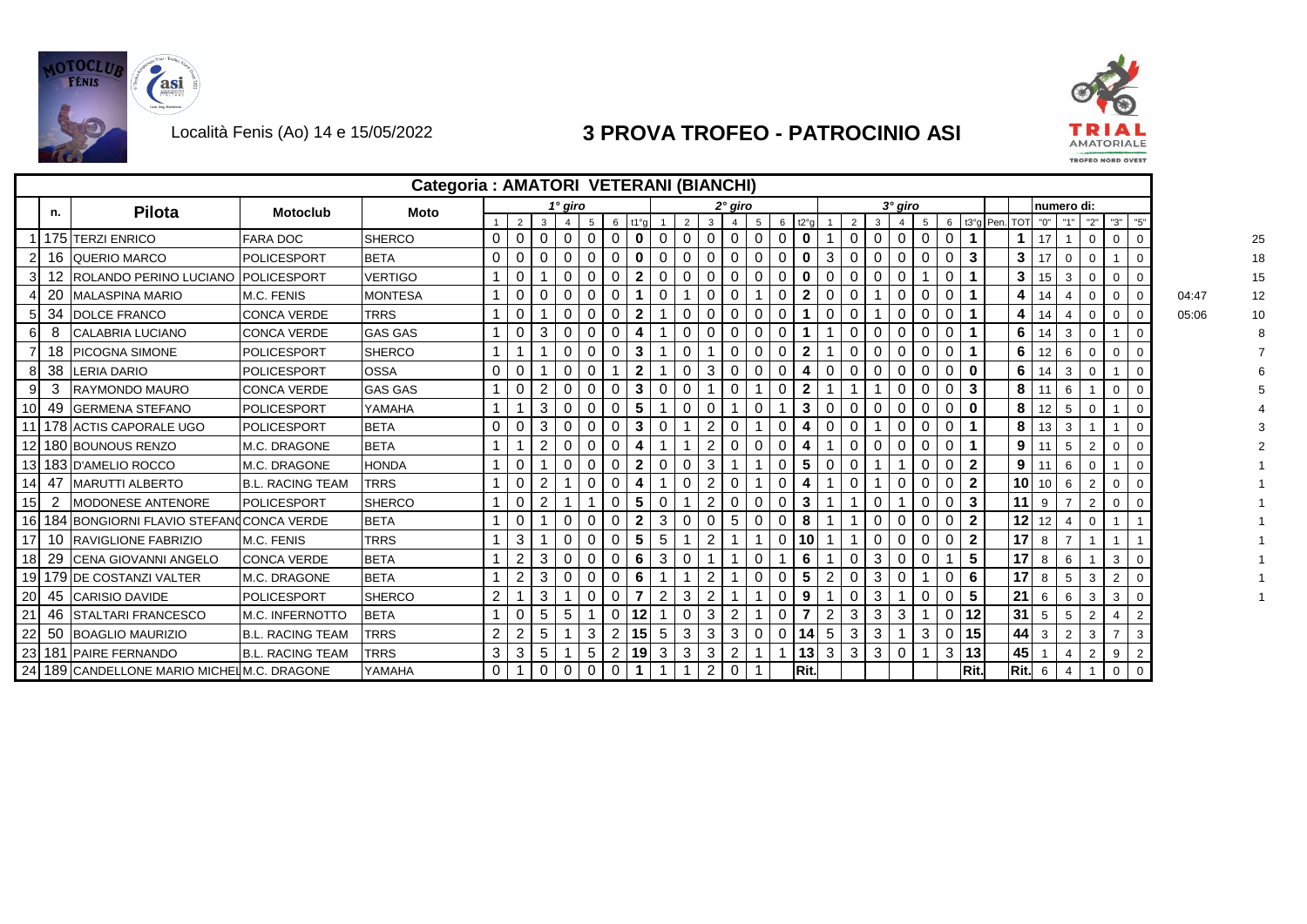



**TROFEO NORD OVEST** 

|                 |                |                                            |                         | Categoria: AMATORI VETERANI (BIANCHI) |                      |                |                |                |             |             |                      |          |                |                |                |          |             |                 |                |                |             |             |             |             |                 |           |                 |                 |                |                |                |                |                |       |    |  |
|-----------------|----------------|--------------------------------------------|-------------------------|---------------------------------------|----------------------|----------------|----------------|----------------|-------------|-------------|----------------------|----------|----------------|----------------|----------------|----------|-------------|-----------------|----------------|----------------|-------------|-------------|-------------|-------------|-----------------|-----------|-----------------|-----------------|----------------|----------------|----------------|----------------|----------------|-------|----|--|
|                 | n.             | <b>Pilota</b>                              | <b>Motoclub</b>         | <b>Moto</b>                           |                      |                |                | 1° giro        |             |             |                      |          |                |                | 2° giro        |          |             |                 |                |                |             | $3°$ giro   |             |             |                 |           |                 |                 | numero di:     |                |                |                |                |       |    |  |
|                 |                |                                            |                         |                                       |                      | 2              | 3              |                | 5           | 6           | t1°q                 |          |                | 3              |                |          | 6           | t2°g            |                | $\overline{2}$ | 3           |             | 5           | 6           |                 | t3°q Pen. | <b>TOT</b>      | "0"             |                | "2"            |                | "3"            | "5"            |       |    |  |
|                 |                | 175 TERZI ENRICO                           | FARA DOC                | <b>SHERCO</b>                         |                      | 0              | 0              | $\Omega$       | $\Omega$    | 0           | $\mathbf 0$          |          | $\overline{0}$ | 0              | $\Omega$       | 0        | 0           | $\mathbf 0$     |                | $\mathbf 0$    | 0           | $\Omega$    | $\mathbf 0$ | $\mathbf 0$ |                 |           |                 | 17              |                | 0              | $\Omega$       |                |                |       |    |  |
| $\overline{2}$  |                | 16 QUERIO MARCO                            | <b>POLICESPORT</b>      | <b>BETA</b>                           | 0                    | $\mathbf{0}$   | $\mathbf{0}$   | 0              | 0           | 0           | $\mathbf 0$          | $\Omega$ | $\overline{0}$ | 0              | $\mathbf 0$    | 0        | 0           | $\mathbf 0$     | 3              | $\mathbf{0}$   | $\mathbf 0$ | $\mathbf 0$ | 0           | $\mathbf 0$ | 3               |           | $3^{\circ}$     | 17              | $\mathbf 0$    | $\mathbf 0$    |                |                | $\Omega$       |       |    |  |
| 3               | 12             | ROLANDO PERINO LUCIANO POLICESPORT         |                         | <b>VERTIGO</b>                        |                      | $\mathbf{0}$   |                | 0              | 0           | 0           | $\mathbf{2}$         | 0        | $\mathbf{0}$   | 0              | 0              | 0        | 0           | $\mathbf 0$     | 0              | $\mathbf 0$    | 0           | $\Omega$    |             | 0           | 1               |           | $\mathbf{3}$    | 15 <sup>1</sup> | 3              | 0              | $\mathbf 0$    |                | $\mathbf 0$    |       | 15 |  |
|                 | 20             | <b>MALASPINA MARIO</b>                     | M.C. FENIS              | MONTESA                               |                      | 0              |                | 0              |             |             |                      |          |                | 0              | $\Omega$       |          | 0           | $\overline{2}$  |                | 0              |             | 0           |             | 0           |                 |           | 4               |                 |                | 0              | 0              | $\overline{0}$ |                | 04:47 | 12 |  |
| 5 <sub>l</sub>  | 34             | <b>DOLCE FRANCO</b>                        | <b>CONCA VERDE</b>      | <b>TRRS</b>                           |                      | $\Omega$       |                | $\Omega$       |             |             | $\mathbf{2}$         |          | $\Omega$       | $\Omega$       | $\Omega$       | $\Omega$ | 0           |                 |                | $\Omega$       |             | $\Omega$    |             | 0           |                 |           | 4               | 14              |                |                | $\Omega$       |                |                | 05:06 | 10 |  |
| 61              | 8              | <b>CALABRIA LUCIANO</b>                    | <b>CONCA VERDE</b>      | <b>GAS GAS</b>                        |                      | 0              | 3              | 0              | 0           |             | 4                    |          | $\mathbf{0}$   | 0              | 0              | 0        | 0           |                 |                | 0              | 0           | 0           | 0           | 0           | 1               |           | 6               | 14              | 3              | 0              |                |                | $\mathbf 0$    |       |    |  |
|                 | 18             | <b>PICOGNA SIMONE</b>                      | <b>POLICESPORT</b>      | <b>SHERCO</b>                         |                      |                |                | 0              | 0           | 0           | $\mathbf{3}$         |          | $\overline{0}$ |                | 0              | 0        | 0           | $\overline{2}$  |                | $\mathbf{0}$   | 0           | 0           | 0           | 0           | $\mathbf{1}$    |           | 6               | 12 <sup>2</sup> | 6              | $\mathbf{0}$   | $\mathbf 0$    |                | 0              |       |    |  |
| 8               | 38             | <b>LERIA DARIO</b>                         | <b>POLICESPORT</b>      | <b>OSSA</b>                           | 0                    | $\mathbf{0}$   |                | $\Omega$       | $\Omega$    |             | $\mathbf{2}$         |          | $\overline{0}$ | 3              | 0              | 0        | 0           | 4               | 0              | $\mathbf{0}$   | 0           | $\Omega$    | 0           | 0           | $\mathbf 0$     |           | 6               | 14              | 3              | 0              |                |                | $\mathbf 0$    |       |    |  |
| 9               | 3              | RAYMONDO MAURO                             | <b>CONCA VERDE</b>      | <b>GAS GAS</b>                        |                      | 0              | $\overline{2}$ | $\Omega$       | 0           | 0           | $\mathbf{3}$         | 0        | $\mathbf{0}$   |                | 0              |          | 0           | $\overline{2}$  |                |                |             | $\Omega$    | 0           | 0           | $\mathbf{3}$    |           | 8               | 11              | 6              |                |                | $\mathbf 0$    | $\mathbf 0$    |       |    |  |
| 10 <sup>1</sup> | 49             | <b>IGERMENA STEFANO</b>                    | <b>POLICESPORT</b>      | YAMAHA                                |                      |                | 3              | 0              |             | 0           | 5                    |          | $\Omega$       | $\Omega$       |                |          |             | 3               |                | 0              | 0           | $\Omega$    |             | 0           | $\mathbf 0$     |           | 8               | 12              | 5              | 0              |                |                |                |       |    |  |
|                 |                | 11 178 ACTIS CAPORALE UGO                  | <b>POLICESPORT</b>      | <b>BETA</b>                           | 0                    | 0              | 3              | ∩              |             |             | 3                    |          |                | $\overline{2}$ | $\Omega$       |          | $\Omega$    | 4               |                | 0              |             | 0           |             | 0           |                 |           | 8               | 13              | 3              |                |                |                |                |       |    |  |
|                 |                | 12 180 BOUNOUS RENZO                       | <b>M.C. DRAGONE</b>     | <b>BETA</b>                           |                      |                | 2              | 0              | 0           | 0           | 4                    |          |                | 2              | 0              | 0        | $\mathbf 0$ | 4               |                | $\mathbf 0$    | 0           | 0           | $\mathbf 0$ | 0           | $\mathbf{1}$    |           | 9               | 11              | 5              | 2              |                | $\mathbf 0$    |                |       |    |  |
|                 |                | 13 183 D'AMELIO ROCCO                      | M.C. DRAGONE            | <b>HONDA</b>                          |                      | $\mathbf{0}$   |                | 0              | 0           | 0           | $\mathbf{2}$         | 0        | $\mathbf{0}$   | 3              |                |          | 0           | 5               | 0              | $\mathbf 0$    |             |             | 0           | 0           | $\overline{2}$  |           | 9               | 11              | 6              | 0              |                |                | $\mathbf 0$    |       |    |  |
| 14              | -47            | <b>MARUTTI ALBERTO</b>                     | <b>B.L. RACING TEAM</b> | <b>TRRS</b>                           |                      | $\mathbf{0}$   | 2              |                | 0           | 0           | 4                    |          | $\mathbf{0}$   | $\overline{2}$ | $\Omega$       |          | 0           | 4               |                | $\mathbf 0$    |             | $\Omega$    | 0           | 0           | $\overline{2}$  |           | 10 <sup>1</sup> | 10 <sup>1</sup> | 6              | 2              | $\mathbf 0$    |                |                |       |    |  |
| 15              | $\overline{2}$ | MODONESE ANTENORE                          | <b>POLICESPORT</b>      | <b>SHERCO</b>                         |                      | 0              | 2              |                |             | 0           | 5                    |          |                | $\overline{2}$ | 0              | 0        | 0           | $\mathbf{3}$    |                |                | 0           |             | 0           | 0           | $\mathbf{3}$    |           | 11              | 9               |                | 2              | $\mathbf 0$    |                |                |       |    |  |
|                 |                | 16 184 BONGIORNI FLAVIO STEFANCONCA VERDE  |                         | <b>BETA</b>                           |                      | 0              |                | $\Omega$       |             |             | $\mathbf{2}$         | 3        | $\mathbf{0}$   | 0              | 5              | $\Omega$ | 0           | 8               |                |                | 0           | ∩           |             |             | $\mathbf{2}$    |           | 12 <sub>1</sub> | 12 <sup>°</sup> |                | 0              |                |                |                |       |    |  |
| 17 <sup>1</sup> | -10            | <b>RAVIGLIONE FABRIZIO</b>                 | M.C. FENIS              | <b>TRRS</b>                           |                      | 3              |                | $\Omega$       | 0           |             | 5                    | 5        |                | 2              |                |          | $\Omega$    | 10              |                |                | 0           | ∩           | 0           | 0           | $\overline{2}$  |           | 17              | 8               |                |                |                |                |                |       |    |  |
| 18              | 29             | <b>CENA GIOVANNI ANGELO</b>                | <b>CONCA VERDE</b>      | <b>BETA</b>                           |                      | 2              | 3              | 0              | 0           | 0           | 6                    | 3        | 0              |                |                | 0        |             | 6               |                | $\mathbf 0$    | 3           | 0           | 0           |             | $5\phantom{.0}$ |           | 17 <sup>1</sup> | 8               | 6              |                | 3              |                |                |       |    |  |
|                 |                | 19 179 DE COSTANZI VALTER                  | M.C. DRAGONE            | <b>BETA</b>                           |                      | $\overline{2}$ | 3              | 0              | 0           | 0           | 6                    |          |                | $\overline{c}$ |                | 0        | 0           | $5\phantom{.0}$ | $\overline{2}$ | $\overline{0}$ | 3           | $\Omega$    |             | 0           | 6               |           | 17              | 8               | 5              | 3              |                | 2              | $\mathbf 0$    |       |    |  |
| 20              |                | 45 CARISIO DAVIDE                          | <b>POLICESPORT</b>      | <b>SHERCO</b>                         | $\mathbf{2}^{\circ}$ |                | 3              |                | 0           | 0           | $\overline{7}$       | 2        | 3              | 2              |                |          | 0           | 9               |                | 0              | 3           |             | 0           | 0           | 5               |           | 21              | 6               | 6              | 3              | 3              |                | 0              |       |    |  |
| 21              |                | 46 STALTARI FRANCESCO                      | M.C. INFERNOTTO         | <b>BETA</b>                           |                      | 0              | 5              | 5              |             | 0           | 12                   |          | $\mathbf{0}$   | 3              |                |          | 0           | $\overline{7}$  |                | 3              | 3           | 3           |             | 0           | 12              |           | 31              | 5               | 5              | 2              |                |                | $\overline{2}$ |       |    |  |
| 22              | 50             | <b>BOAGLIO MAURIZIO</b>                    | <b>B.L. RACING TEAM</b> | <b>TRRS</b>                           | $\overline{2}$       | $\overline{2}$ | 5              |                | 3           | 2           | 15                   | 5        | 3              | 3              | 3              | $\Omega$ | $\Omega$    | 14              | 5              | 3              | 3           |             | 3           | $\Omega$    | 15              |           | 44              | 3               | $\overline{2}$ | 3              | $\overline{ }$ |                | 3              |       |    |  |
|                 |                | 23 181 PAIRE FERNANDO                      | <b>B.L. RACING TEAM</b> | <b>TRRS</b>                           | 3                    | 3              | 5              |                | 5           | 2           | 19                   |          | 3              | 3              | $\overline{2}$ |          |             | 13              | 3              | 3              | 3           | 0           |             | 3           | 13              |           | 45              |                 |                | $\overline{2}$ | 9              |                | 2              |       |    |  |
|                 |                | 24 189 CANDELLONE MARIO MICHELM.C. DRAGONE |                         | YAMAHA                                | 0                    |                | $\overline{0}$ | $\overline{0}$ | $\mathbf 0$ | $\mathbf 0$ | $\blacktriangleleft$ |          |                | $\mathbf{2}$   | $\Omega$       |          |             | Rit.            |                |                |             |             |             |             | Rit.            |           | Rit.            | 6               | $\overline{4}$ |                |                | $\mathbf 0$    | $\Omega$       |       |    |  |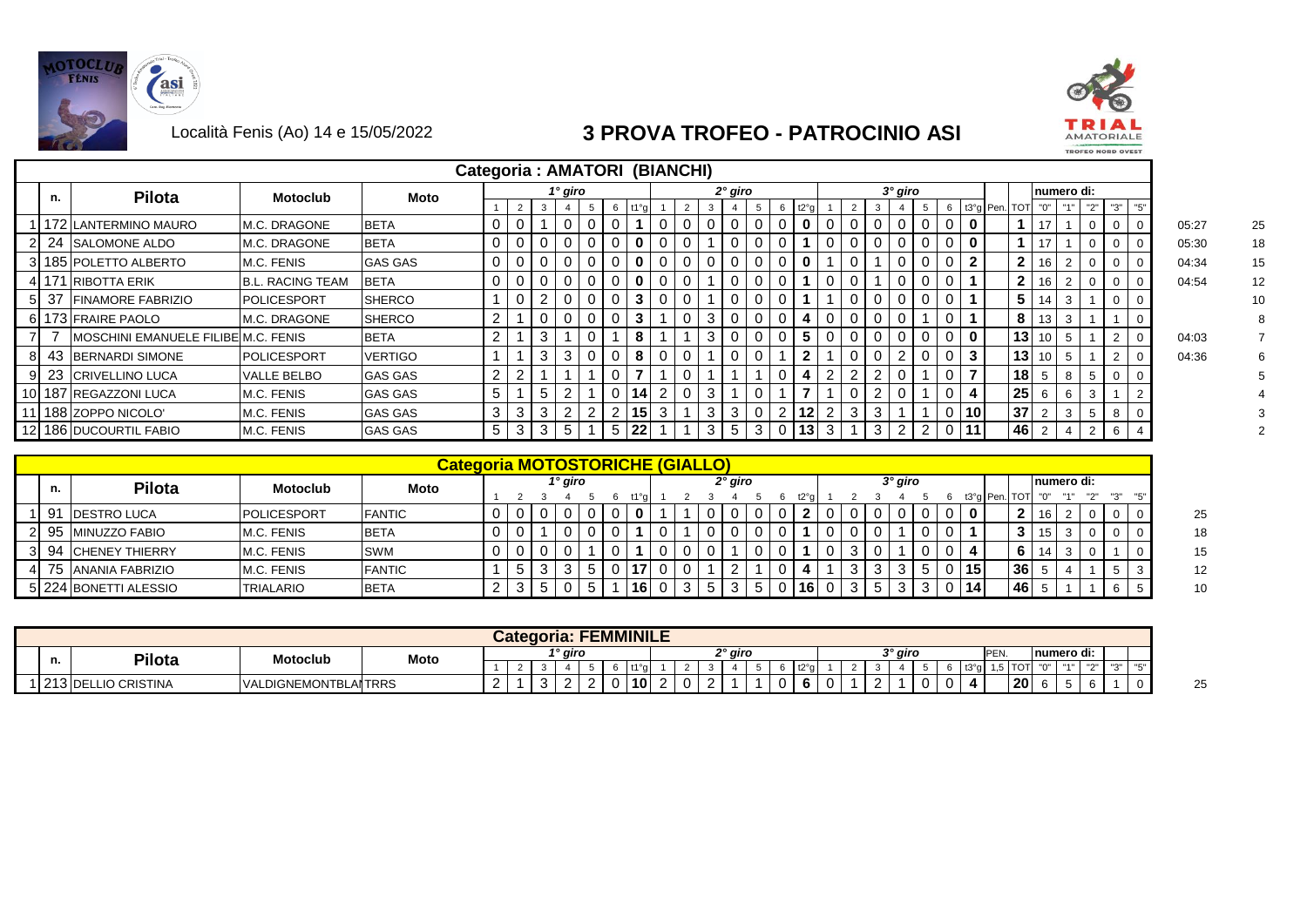



|     |     |                                     |                         | Categoria: AMATORI (BIANCHI) |                |   |    |          |          |    |                 |                |   |   |           |             |   |              |                |                |        |           |                |                |                          |               |              |     |      |            |                |                |       |  |
|-----|-----|-------------------------------------|-------------------------|------------------------------|----------------|---|----|----------|----------|----|-----------------|----------------|---|---|-----------|-------------|---|--------------|----------------|----------------|--------|-----------|----------------|----------------|--------------------------|---------------|--------------|-----|------|------------|----------------|----------------|-------|--|
|     | n.  | <b>Pilota</b>                       | Motoclub                | Moto                         |                |   |    | 1° giro  |          |    |                 |                |   |   | $2°$ giro |             |   |              |                |                |        | $3°$ giro |                |                |                          |               |              |     |      | numero di: |                |                |       |  |
|     |     |                                     |                         |                              |                |   | 3  |          |          | 6  |                 |                |   | 3 |           |             |   | t2°q         |                |                |        |           | 5              |                |                          | 6 t3°g Pen. 1 | <b>TOT</b>   | "0" | 1141 | "2"        | "3"            | "5"            |       |  |
|     |     | 172 LANTERMINO MAURO                | M.C. DRAGONE            | <b>BETA</b>                  | 0              |   |    |          |          |    |                 |                |   |   |           | $\Omega$    |   |              |                |                |        |           | $\overline{0}$ | $\Omega$       | $\bf{0}$                 |               |              | 17  |      |            |                |                | 05:27 |  |
|     |     | 24 SALOMONE ALDO                    | M.C. DRAGONE            | <b>BETA</b>                  | $\mathbf 0$    |   |    |          |          |    | 0               |                |   |   |           | $\Omega$    |   |              |                |                |        |           | 0              | 0              | $\mathbf 0$              |               |              | 17  |      |            | 0              |                | 05:30 |  |
|     |     | 185 POLETTO ALBERTO                 | <b>M.C. FENIS</b>       | <b>GAS GAS</b>               | $\mathbf 0$    |   |    |          |          |    | 0               |                |   |   |           | $\Omega$    |   |              |                |                |        |           | $\Omega$       | $\Omega$       | $\overline{2}$           |               | $\mathbf{2}$ | 16  |      |            | 0              |                | 04:34 |  |
|     | 171 | <b>RIBOTTA ERIK</b>                 | <b>B.L. RACING TEAM</b> | <b>BETA</b>                  | $\mathbf 0$    | 0 |    | $\Omega$ |          |    | 0               |                |   |   |           | $\Omega$    |   |              |                |                |        |           | $\mathbf 0$    | $\mathbf 0$    |                          |               | $\mathbf{2}$ | 16  |      |            | 0              | - 0            | 04:54 |  |
|     | 37  | <b>FINAMORE FABRIZIO</b>            | <b>POLICESPORT</b>      | <b>SHERCO</b>                |                |   | 2  |          |          |    | 3               |                |   |   |           | $\Omega$    |   |              |                |                |        |           | $\mathbf 0$    | $\Omega$       |                          |               | 5            | 14  |      |            | $\mathbf 0$    | $\overline{0}$ |       |  |
|     |     | 6 173 FRAIRE PAOLO                  | <b>IM.C. DRAGONE</b>    | <b>SHERCO</b>                | 2              |   |    | $\Omega$ |          |    | 3               |                |   | 3 | 0         | $\Omega$    |   | 4            |                |                |        |           |                | $\Omega$       |                          |               | 8            | 13  |      |            |                | $\Omega$       |       |  |
|     |     | MOSCHINI EMANUELE FILIBE M.C. FENIS |                         | <b>BETA</b>                  | $\overline{2}$ |   | 3  |          |          |    | 8               |                |   | 3 |           | $\Omega$    |   | 5            |                |                |        |           | $\mathbf 0$    | $\Omega$       | $\mathbf 0$              |               | 13           | 10  |      |            | $\overline{2}$ |                | 04:03 |  |
| 8   |     | 43 BERNARDI SIMONE                  | <b>IPOLICESPORT</b>     | <b>VERTIGO</b>               |                |   | 3  | 3        | $\Omega$ |    | 8               |                |   |   | $\Omega$  | $\Omega$    |   | $\mathbf{2}$ |                |                |        |           | $\mathbf 0$    | 0              | $\mathbf{3}$             |               | 13           | 10  |      |            | $\overline{2}$ | - 0            | 04:36 |  |
|     |     | 23 CRIVELLINO LUCA                  | VALLE BELBO             | <b>GAS GAS</b>               | $\overline{2}$ | 2 |    |          |          |    |                 |                |   |   |           |             |   |              | $\overline{2}$ | $\overline{2}$ |        |           |                | $\Omega$       | $\overline{\phantom{a}}$ |               | 18           |     |      |            | $\mathbf 0$    | $\Omega$       |       |  |
| 10  |     | 187 REGAZZONI LUCA                  | M.C. FENIS              | <b>GAS GAS</b>               | 5              |   | 5  | 2        |          |    | 14 <sub>1</sub> | $\overline{2}$ | 0 | 3 |           | $\mathbf 0$ |   | -            |                |                |        |           |                | $\mathbf 0$    |                          |               | 25           |     | 6    |            |                | $\overline{2}$ |       |  |
|     |     | 188 ZOPPO NICOLO'                   | M.C. FENIS              | <b>GAS GAS</b>               | 3              | 3 | 3  | 2        | ົ        | າ  | 15              | 3              |   | 3 | 3         | $\mathbf 0$ | റ | 12           | റ              | 3              | $\sim$ |           |                | $\Omega$       | 10 <sup>1</sup>          |               | 37           |     | 3    | -5         | 8              |                |       |  |
| 121 |     | 186 DUCOURTIL FABIO                 | M.C. FENIS              | <b>GAS GAS</b>               | 5              | 3 | -3 | -5       |          | -5 | 22              |                |   | 3 | 5         | 3           |   | 0 13         | 3              |                | 3      | 2         | 2              | $\overline{0}$ | 11                       |               | 46           |     |      | 2          | 6              |                |       |  |

|    |     |                        |                    | <b>Categoria MOTOSTORICHE (GIALLO)</b> |  |         |  |    |  |         |  |           |  |         |  |                 |                 |                 |      |             |       |  |
|----|-----|------------------------|--------------------|----------------------------------------|--|---------|--|----|--|---------|--|-----------|--|---------|--|-----------------|-----------------|-----------------|------|-------------|-------|--|
|    | n.  | <b>Pilota</b>          | <b>Motoclub</b>    | Moto                                   |  | 1° giro |  |    |  | 2° giro |  |           |  | 3° giro |  |                 |                 |                 |      | Inumero di: |       |  |
|    |     |                        |                    |                                        |  |         |  |    |  |         |  |           |  |         |  |                 | t3°g   Pen. TOT |                 |      |             | ייפיי |  |
|    | -91 | <b>IDESTRO LUCA</b>    | <b>POLICESPORT</b> | <b>FANTIC</b>                          |  |         |  |    |  |         |  |           |  |         |  | 0               |                 |                 | 16 I |             |       |  |
| າເ |     | 95 MINUZZO FABIO       | M.C. FENIS         | <b>BETA</b>                            |  |         |  |    |  |         |  |           |  |         |  |                 |                 |                 | 15   |             |       |  |
|    | 94  | <b>ICHENEY THIERRY</b> | M.C. FENIS         | <b>SWM</b>                             |  |         |  |    |  |         |  |           |  |         |  |                 |                 | 6.              | 14   |             |       |  |
|    |     | 75 ANANIA FABRIZIO     | M.C. FENIS         | <b>FANTIC</b>                          |  |         |  |    |  |         |  |           |  |         |  | 15 <sup>1</sup> |                 | 36 <sup>1</sup> |      |             |       |  |
|    |     | 5 224 BONETTI ALESSIO  | <b>TRIALARIO</b>   | <b>BETA</b>                            |  |         |  | 16 |  |         |  | <b>16</b> |  |         |  | 14              |                 | 46              |      |             |       |  |

|    |                     |                                  |      | Categoria: |                     |  | <b>FEMMINILE</b> |  |  |                     |  |  |  |                     |  |      |           |          |            |                      |            |  |
|----|---------------------|----------------------------------|------|------------|---------------------|--|------------------|--|--|---------------------|--|--|--|---------------------|--|------|-----------|----------|------------|----------------------|------------|--|
| n. | <b>Pilota</b>       | <b>Motoclub</b>                  | Moto |            | <sup>1</sup> ° giro |  |                  |  |  | <sup>o</sup> ° giro |  |  |  | <sup>າ</sup> ° giro |  | PEN. |           |          | numero di: |                      |            |  |
|    |                     |                                  |      |            |                     |  | 440.             |  |  |                     |  |  |  |                     |  |      | 1TAT      | $\cdots$ | <b>HAH</b> | $\sim$ $\sim$ $\sim$ | $H \cap H$ |  |
|    | 213 DELLIO CRISTINA | LDIGNEMONTBLAITRRS<br><b>VAL</b> |      |            |                     |  | 10 <sub>1</sub>  |  |  |                     |  |  |  |                     |  |      | <b>20</b> |          |            |                      |            |  |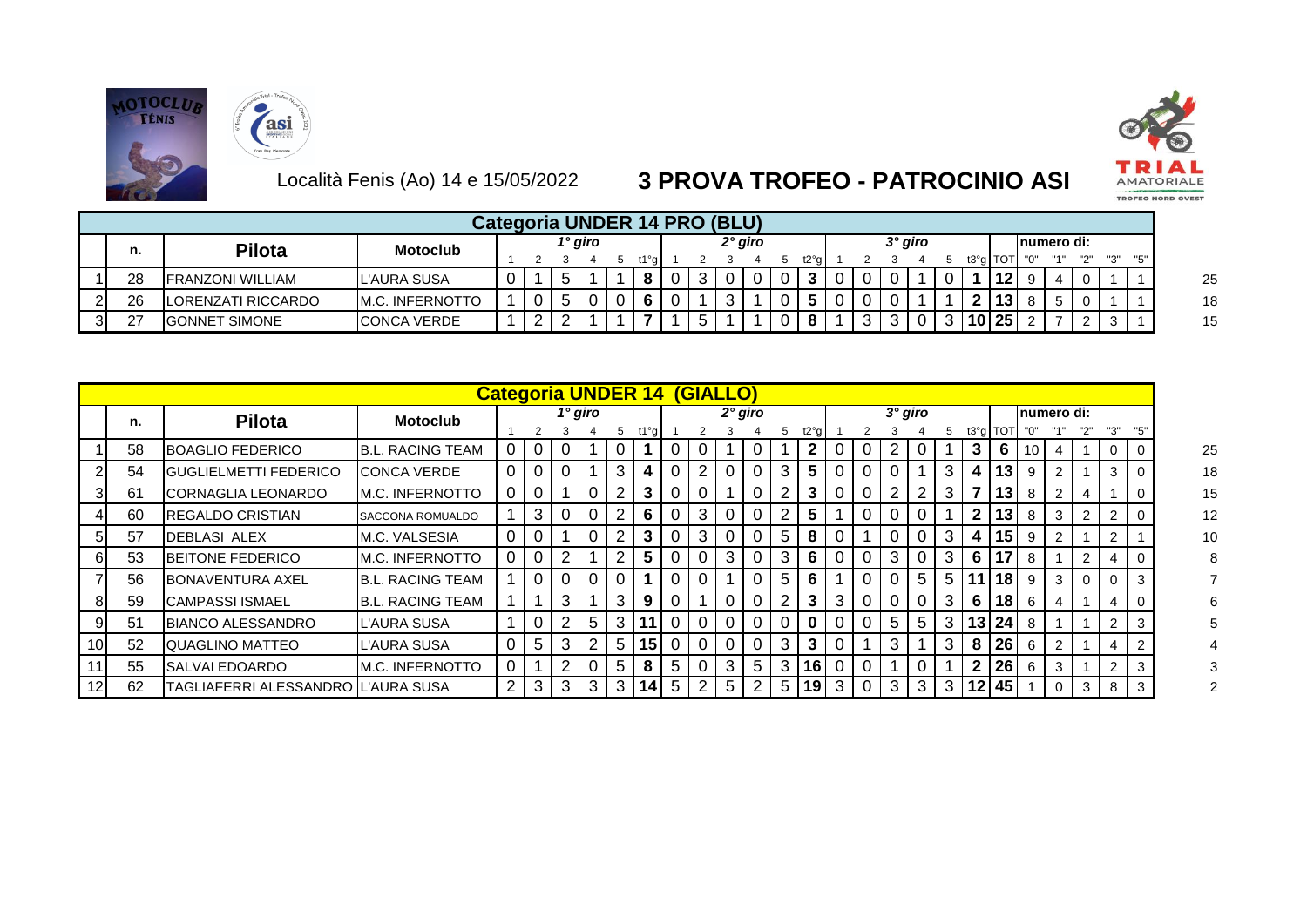





|    |                         |                 |   |  |         | Categoria UNDER 14 PRO (BLU) |  |         |      |  |         |  |           |             |             |  |  |
|----|-------------------------|-----------------|---|--|---------|------------------------------|--|---------|------|--|---------|--|-----------|-------------|-------------|--|--|
| n. | <b>Pilota</b>           | <b>Motoclub</b> |   |  | 1° giro |                              |  | 2° giro |      |  | 3° giro |  |           |             | Inumero di: |  |  |
|    |                         |                 |   |  |         |                              |  |         | t2°a |  |         |  | t3°g ∏OTI |             |             |  |  |
| 28 | <b>FRANZONI WILLIAM</b> | L'AURA SUSA     | ν |  |         |                              |  |         |      |  |         |  |           | <b>1121</b> |             |  |  |
| 26 | LORENZATI RICCARDO      | M.C. INFERNOTTO |   |  |         |                              |  |         |      |  |         |  |           | 13          |             |  |  |
| 27 | <b>GONNET SIMONE</b>    | CONCA VERDE     |   |  |         |                              |  |         |      |  |         |  |           | 10 25       |             |  |  |

|                 |    |                                    |                          |             |          |   |                |   | <b>Categoria UNDER 14</b> |   |                | <b><i>(GIALLO)</i></b> |   |                |      |   |         |                |                |                |                  |    |                |   |                |                |  |
|-----------------|----|------------------------------------|--------------------------|-------------|----------|---|----------------|---|---------------------------|---|----------------|------------------------|---|----------------|------|---|---------|----------------|----------------|----------------|------------------|----|----------------|---|----------------|----------------|--|
|                 | n. | <b>Pilota</b>                      | <b>Motoclub</b>          |             |          |   | $1^\circ$ giro |   |                           |   |                | $2°$ giro              |   |                |      |   | 3° giro |                |                |                |                  |    | 'numero di:    |   |                |                |  |
|                 |    |                                    |                          |             |          |   |                | 5 | t1°g                      |   |                |                        |   | 5              | t2°g |   |         |                | 5              |                | $t3°g$ TOT $"0"$ |    |                |   |                | "5"            |  |
|                 | 58 | BOAGLIO FEDERICO                   | B.L. RACING TEAM         | 0           | 0        |   |                |   |                           | 0 |                |                        |   |                |      |   |         |                |                | 3 <sup>1</sup> | 6                | 10 |                |   |                | - 0            |  |
|                 | 54 | IGUGLIELMETTI FEDERICO             | CONCA VERDE              | $\mathbf 0$ | 0        |   |                | 3 | 4                         | 0 | 2              |                        |   | 3              | 5    | 0 |         |                | 3              | 4              | 13 <sup>1</sup>  | 9  |                |   | 3              | - 0            |  |
|                 | 61 | CORNAGLIA LEONARDO                 | <b>I</b> M.C. INFERNOTTO | $\mathbf 0$ |          |   |                | 2 | 3                         | 0 |                |                        |   | 2              | 3    |   | 2       | $\overline{2}$ | 3              | 7              | 13 <sup>1</sup>  | 8  | $\overline{2}$ |   |                |                |  |
|                 | 60 | <b>REGALDO CRISTIAN</b>            | SACCONA ROMUALDO         |             | 3        |   |                |   | 6                         | 0 | 3              |                        |   | 2              | 5    |   |         |                |                | $\mathbf{2}$   | 131              | 8  | 3              | 2 | 2              | - 0            |  |
|                 | 57 | <b>DEBLASI ALEX</b>                | <b>M.C. VALSESIA</b>     | $\mathbf 0$ |          |   |                | っ | 3                         | 0 | 3              |                        |   | 5              | 8    |   |         |                | 3              | 4              | <b>15</b>        | 9  | 2              |   | 2              |                |  |
|                 | 53 | <b>BEITONE FEDERICO</b>            | M.C. INFERNOTTO          |             | $\Omega$ | 2 |                | 2 | 5                         | 0 | 0              | -3                     |   | 3              | 6    | 0 | 3       |                | 3              |                | 6 17             | 8  |                | 2 |                |                |  |
|                 | 56 | <b>BONAVENTURA AXEL</b>            | <b>B.L. RACING TEAM</b>  |             | 0        |   |                |   |                           | 0 | 0              |                        |   | 5              | 6    |   |         | 5              | 5 <sup>5</sup> |                | $11$ 18          | 9  | 3              | 0 |                | 3              |  |
|                 | 59 | <b>CAMPASSI ISMAEL</b>             | <b>B.L. RACING TEAM</b>  |             |          | 3 |                | 3 | 9                         | 0 |                |                        |   | $\overline{2}$ | 3    | 3 |         |                | 3              |                | 6 18             | 6  | 4              |   |                |                |  |
|                 | 51 | <b>BIANCO ALESSANDRO</b>           | L'AURA SUSA              |             | 0        | 2 | 5              | 3 | 11                        | 0 | 0              |                        |   |                | 0    |   | 5       | 5              | 3 <sup>1</sup> |                | 13 24            | -8 |                |   | $\overline{2}$ | 3              |  |
| 10 <sup>1</sup> | 52 | <b>QUAGLINO MATTEO</b>             | L'AURA SUSA              | 0           | 5        | 3 | 2              | 5 | 15                        | 0 | 0              | $\Omega$               |   | 3              | 3    |   | 3       |                | 3              | 8              | 26               | 6  | $\overline{2}$ |   |                | $\overline{2}$ |  |
|                 | 55 | <b>SALVAI EDOARDO</b>              | M.C. INFERNOTTO          |             |          | 2 |                | 5 | 8                         | 5 | 0              | 3                      | 5 | -3             | 16   | 0 |         |                |                | $\mathbf{2}$   | 26               | 6  | 3              |   | 2              | 3              |  |
| 12 <sup>1</sup> | 62 | TAGLIAFERRI ALESSANDRO L'AURA SUSA |                          | 2           | 3        | 3 | 3              | 3 | 14                        | 5 | 2 <sup>1</sup> | 5                      |   | 5              | 19   | 3 | 3       | -3             | 3              |                | $12$ 45          |    | $\Omega$       | 3 | 8              |                |  |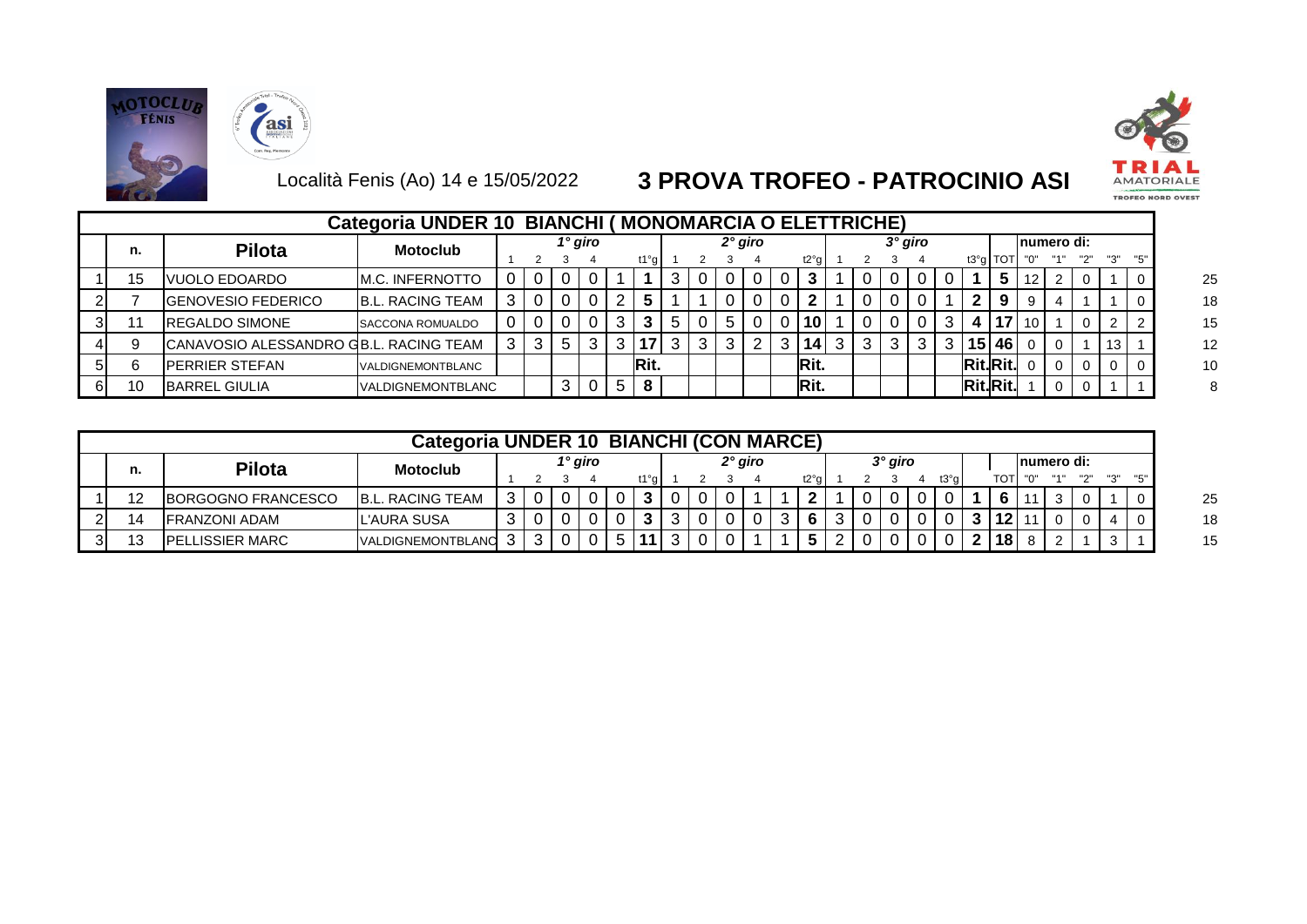





|    |                                         | Categoria UNDER 10 BIANCHI (MONOMARCIA O ELETTRICHE) |  |                |         |              |      |             |     |     |           |                 |   |                |   |                 |            |                 |             |   |                 |                  |  |
|----|-----------------------------------------|------------------------------------------------------|--|----------------|---------|--------------|------|-------------|-----|-----|-----------|-----------------|---|----------------|---|-----------------|------------|-----------------|-------------|---|-----------------|------------------|--|
| n. | <b>Pilota</b>                           | <b>Motoclub</b>                                      |  |                | 1° giro |              |      |             |     |     | $2°$ giro |                 |   | $3^\circ$ giro |   |                 |            |                 | Inumero di: |   |                 |                  |  |
|    |                                         |                                                      |  |                |         |              | t1°g |             |     |     |           | t2°g            |   |                |   |                 | $t3°g$ TOT |                 |             |   |                 |                  |  |
| 15 | VUOLO EDOARDO                           | M.C. INFERNOTTO                                      |  |                |         |              |      |             |     |     |           |                 |   |                |   |                 | 5          | 12              | 2           |   |                 | -0               |  |
|    | <b>GENOVESIO FEDERICO</b>               | <b>B.L. RACING TEAM</b>                              |  |                |         |              |      |             |     |     |           |                 |   |                |   |                 | -9         |                 |             |   |                 |                  |  |
|    | <b>REGALDO SIMONE</b>                   | SACCONA ROMUALDO                                     |  |                |         |              |      | $\mathbf b$ |     | I 5 |           | 10              |   |                |   | 4               | 17         | $\overline{10}$ |             |   | ົ               | l 2              |  |
|    | ICANAVOSIO ALESSANDRO GB.L. RACING TEAM |                                                      |  | 5 <sup>1</sup> |         |              | 17   | 3           | 3 I |     |           | 14 <sup>1</sup> | 3 |                | 3 |                 | 15 46 0    |                 |             |   | 13 <sup>1</sup> |                  |  |
|    | PERRIER STEFAN                          | VALDIGNEMONTBLANC                                    |  |                |         |              | Rit. |             |     |     |           | Rit.            |   |                |   | Rit.Rit.        |            |                 |             | 0 |                 | $\overline{1}$ 0 |  |
|    | <b>BARREL GIULIA</b>                    | VALDIGNEMONTBLANC                                    |  |                |         | $\mathbf{b}$ | 8    |             |     |     |           | Rit.            |   |                |   | <b>Rit.Rit.</b> |            |                 |             |   |                 |                  |  |

|    | Categoria UNDER 10 BIANCHI (CON MARCE) |                                  |                         |         |   |  |         |  |        |           |  |  |             |      |  |  |  |        |                  |  |  |  |     |  |
|----|----------------------------------------|----------------------------------|-------------------------|---------|---|--|---------|--|--------|-----------|--|--|-------------|------|--|--|--|--------|------------------|--|--|--|-----|--|
| n. |                                        | <b>Pilota</b><br><b>Motoclub</b> |                         | 1° giro |   |  | 2° giro |  |        | $3°$ giro |  |  | Inumero di: |      |  |  |  |        |                  |  |  |  |     |  |
|    |                                        |                                  |                         |         |   |  |         |  | t1°a l |           |  |  |             | t2°q |  |  |  | t3°a l | TOT              |  |  |  |     |  |
|    |                                        | <b>BORGOGNO FRANCESCO</b>        | <b>B.L. RACING TEAM</b> |         |   |  |         |  |        |           |  |  |             | ີ    |  |  |  |        |                  |  |  |  | -0  |  |
|    |                                        | <b>IFRANZONI ADAM</b>            | L'AURA SUSA             |         |   |  |         |  |        |           |  |  |             | 6    |  |  |  |        | $\overline{112}$ |  |  |  | - 0 |  |
| 31 |                                        | <b>IPELLISSIER MARC</b>          | VALDIGNEMONTBLANC       |         | ົ |  |         |  |        | 2         |  |  |             |      |  |  |  |        | 18               |  |  |  |     |  |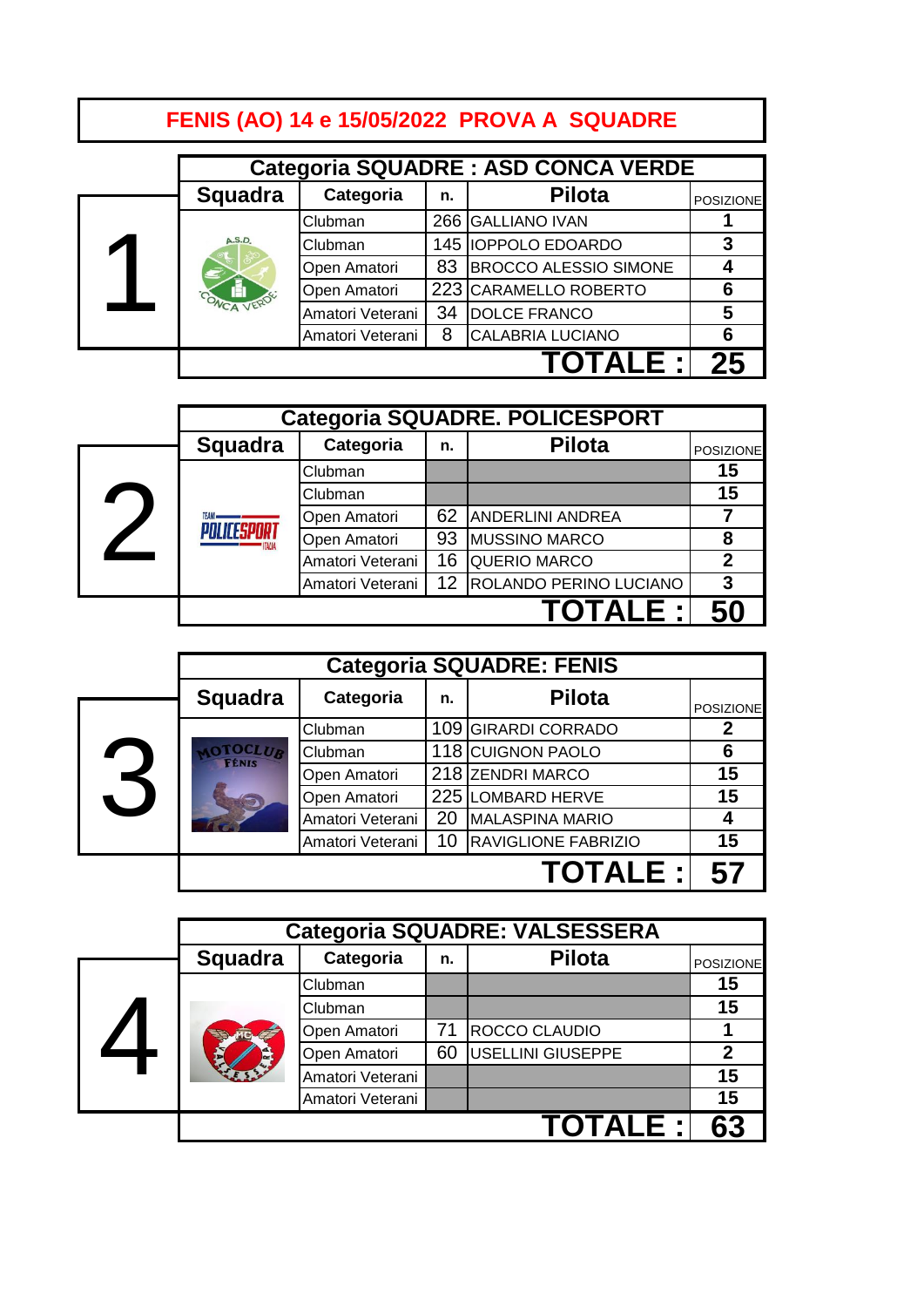# **FENIS (AO) 14 e 15/05/2022 PROVA A SQUADRE**

|  |                | <b>Categoria SQUADRE: ASD CONCA VERDE</b> |    |                              |                  |  |  |  |  |  |
|--|----------------|-------------------------------------------|----|------------------------------|------------------|--|--|--|--|--|
|  | <b>Squadra</b> | Categoria                                 | n. | <b>Pilota</b>                | <b>POSIZIONE</b> |  |  |  |  |  |
|  |                | Clubman                                   |    | 266 GALLIANO IVAN            |                  |  |  |  |  |  |
|  | A.S.D.         | Clubman                                   |    | 145 IOPPOLO EDOARDO          | 3                |  |  |  |  |  |
|  |                | Open Amatori                              | 83 | <b>BROCCO ALESSIO SIMONE</b> |                  |  |  |  |  |  |
|  |                | Open Amatori                              |    | 223 CARAMELLO ROBERTO        | 6                |  |  |  |  |  |
|  |                | Amatori Veterani                          | 34 | <b>DOLCE FRANCO</b>          | 5                |  |  |  |  |  |
|  |                | Amatori Veterani                          | 8  | <b>CALABRIA LUCIANO</b>      | 6                |  |  |  |  |  |
|  |                |                                           |    |                              |                  |  |  |  |  |  |

|  |                |                  |    | <b>Categoria SQUADRE. POLICESPORT</b> |                  |
|--|----------------|------------------|----|---------------------------------------|------------------|
|  | <b>Squadra</b> | Categoria        | n. | <b>Pilota</b>                         | <b>POSIZIONE</b> |
|  |                | Clubman          |    |                                       | 15               |
|  | <b>TFAM.</b>   | Clubman          |    |                                       | 15               |
|  |                | Open Amatori     | 62 | <b>ANDERLINI ANDREA</b>               |                  |
|  |                | Open Amatori     | 93 | <b>MUSSINO MARCO</b>                  | 8                |
|  |                | Amatori Veterani | 16 | <b>QUERIO MARCO</b>                   | 2                |
|  |                | Amatori Veterani | 12 | ROLANDO PERINO LUCIANO                | 3                |
|  |                |                  |    | TOTALE :I                             | 50               |

|          |                               |                  |    | <b>Categoria SQUADRE: FENIS</b> |                  |
|----------|-------------------------------|------------------|----|---------------------------------|------------------|
|          | <b>Squadra</b>                | Categoria        | n. | <b>Pilota</b>                   | <b>POSIZIONE</b> |
|          |                               | Clubman          |    | 109 GIRARDI CORRADO             | 2                |
|          | <b>LOCLUB</b><br><b>FÉNIS</b> | Clubman          |    | 118 CUIGNON PAOLO               | 6                |
| <b>X</b> |                               | Open Amatori     |    | 218 ZENDRI MARCO                | 15               |
|          |                               | Open Amatori     |    | 225 LOMBARD HERVE               | 15               |
|          |                               | Amatori Veterani | 20 | <b>MALASPINA MARIO</b>          | 4                |
|          |                               | Amatori Veterani | 10 | <b>RAVIGLIONE FABRIZIO</b>      | 15               |
|          |                               |                  |    | <b>TOTALE:I</b>                 | 57               |

|  |                |                  |    | <b>Categoria SQUADRE: VALSESSERA</b> |                  |
|--|----------------|------------------|----|--------------------------------------|------------------|
|  | <b>Squadra</b> | Categoria        | n. | <b>Pilota</b>                        | <b>POSIZIONE</b> |
|  |                | Clubman          |    |                                      | 15               |
|  |                | Clubman          |    |                                      | 15               |
|  |                | Open Amatori     | 71 | ROCCO CLAUDIO                        |                  |
|  |                | Open Amatori     | 60 | <b>USELLINI GIUSEPPE</b>             | $\mathbf 2$      |
|  |                | Amatori Veterani |    |                                      | 15               |
|  |                | Amatori Veterani |    |                                      | 15               |
|  |                |                  |    | TOTALE :I                            |                  |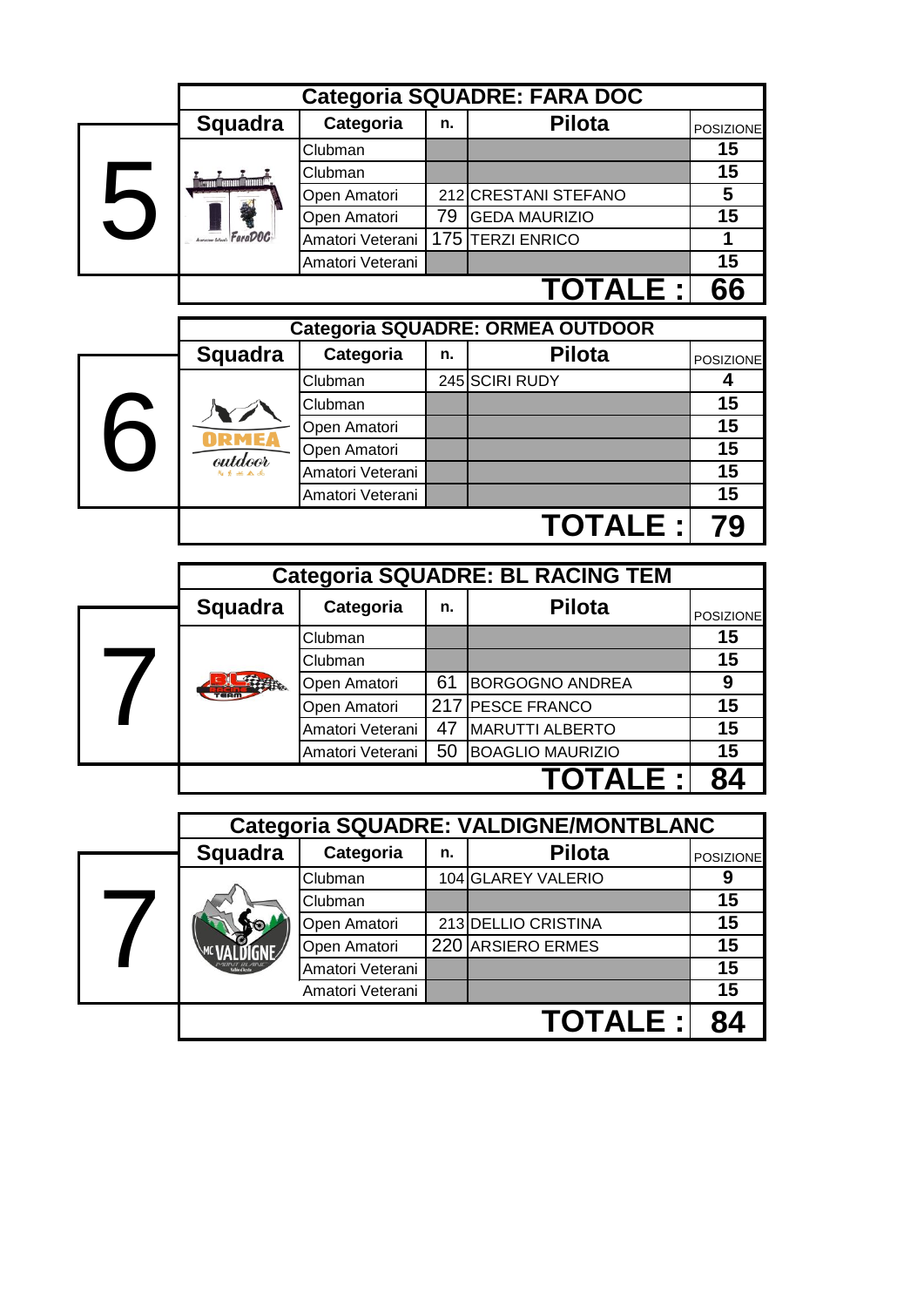|            |                                  |                  |     | <b>Categoria SQUADRE: FARA DOC</b>      |                                    |  |  |  |  |
|------------|----------------------------------|------------------|-----|-----------------------------------------|------------------------------------|--|--|--|--|
|            | <b>Squadra</b>                   | Categoria        | n.  | <b>Pilota</b>                           | <b>POSIZIONE</b>                   |  |  |  |  |
|            |                                  | Clubman          |     |                                         | 15                                 |  |  |  |  |
|            | <b>Term man man</b>              | Clubman          |     |                                         | 15                                 |  |  |  |  |
| 5          |                                  | Open Amatori     |     | 212 CRESTANI STEFANO                    | 5                                  |  |  |  |  |
|            |                                  | Open Amatori     | 79  | <b>GEDA MAURIZIO</b>                    | $\overline{15}$                    |  |  |  |  |
|            | FaraDOC                          | Amatori Veterani |     | 175 TERZI ENRICO                        | 1                                  |  |  |  |  |
|            |                                  | Amatori Veterani |     |                                         | $\overline{15}$                    |  |  |  |  |
|            |                                  |                  |     | <b>TOTALE :</b>                         | 66                                 |  |  |  |  |
|            | Categoria SQUADRE: ORMEA OUTDOOR |                  |     |                                         |                                    |  |  |  |  |
|            | <b>Squadra</b>                   | Categoria        | n.  | <b>Pilota</b>                           | <b>POSIZIONE</b>                   |  |  |  |  |
|            |                                  | Clubman          |     | 245 SCIRI RUDY                          | 4                                  |  |  |  |  |
|            |                                  | Clubman          |     |                                         | 15                                 |  |  |  |  |
|            |                                  | Open Amatori     |     |                                         | 15                                 |  |  |  |  |
| 6          |                                  | Open Amatori     |     |                                         | 15                                 |  |  |  |  |
|            | outdoor                          | Amatori Veterani |     |                                         | 15                                 |  |  |  |  |
|            |                                  | Amatori Veterani |     |                                         | 15                                 |  |  |  |  |
|            |                                  |                  |     |                                         |                                    |  |  |  |  |
|            |                                  |                  |     | <b>TOTALE:</b>                          | 79                                 |  |  |  |  |
|            |                                  |                  |     |                                         |                                    |  |  |  |  |
|            |                                  |                  |     | <b>Categoria SQUADRE: BL RACING TEM</b> |                                    |  |  |  |  |
|            | <b>Squadra</b>                   | Categoria        | n.  | <b>Pilota</b>                           |                                    |  |  |  |  |
|            |                                  | Clubman          |     |                                         | 15                                 |  |  |  |  |
|            |                                  | Clubman          |     |                                         | 15                                 |  |  |  |  |
|            |                                  | Open Amatori     | 61  | <b>BORGOGNO ANDREA</b>                  | 9                                  |  |  |  |  |
| $\sqrt{2}$ |                                  | Open Amatori     | 217 | <b>PESCE FRANCO</b>                     | 15                                 |  |  |  |  |
|            |                                  | Amatori Veterani | 47  | <b>MARUTTI ALBERTO</b>                  | 15                                 |  |  |  |  |
|            |                                  | Amatori Veterani | 50  | <b>BOAGLIO MAURIZIO</b>                 | 15                                 |  |  |  |  |
|            |                                  |                  |     | <b>TOTALE :</b>                         | 84                                 |  |  |  |  |
|            |                                  |                  |     |                                         |                                    |  |  |  |  |
|            |                                  |                  |     | Categoria SQUADRE: VALDIGNE/MONTBLANC   |                                    |  |  |  |  |
|            | <b>Squadra</b>                   | Categoria        | n.  | <b>Pilota</b>                           |                                    |  |  |  |  |
|            |                                  | Clubman          |     | 104 GLAREY VALERIO                      | 9                                  |  |  |  |  |
|            |                                  | Clubman          |     |                                         | 15                                 |  |  |  |  |
|            |                                  | Open Amatori     |     | 213 DELLIO CRISTINA                     | 15                                 |  |  |  |  |
|            |                                  | Open Amatori     |     | 220 ARSIERO ERMES                       | 15                                 |  |  |  |  |
| 7          |                                  | Amatori Veterani |     |                                         | 15                                 |  |  |  |  |
|            |                                  | Amatori Veterani |     | <b>TOTALE:</b>                          | POSIZIONE<br>POSIZIONE<br>15<br>84 |  |  |  |  |